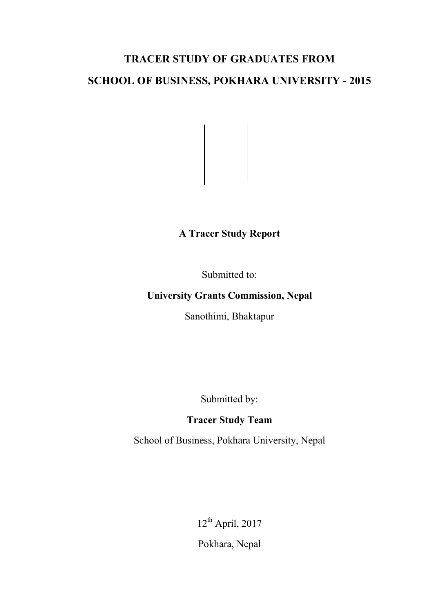# **TRACER STUDY OF GRADUATES FROM**

# **SCHOOL OF BUSINESS, POKHARA UNIVERSITY - 2015**

**A Tracer Study Report** 

Submitted to:

# **University Grants Commission, Nepal**

Sanothimi, Bhaktapur

Submitted by:

# **Tracer Study Team**

School of Business, Pokhara University, Nepal

12th April, 2017 Pokhara, Nepal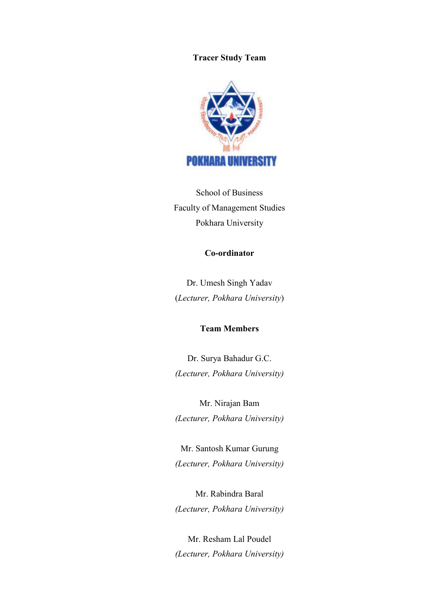#### **Tracer Study Team**



School of Business Faculty of Management Studies Pokhara University

### **Co-ordinator**

Dr. Umesh Singh Yadav (*Lecturer, Pokhara University*)

#### **Team Members**

Dr. Surya Bahadur G.C. *(Lecturer, Pokhara University)* 

Mr. Nirajan Bam *(Lecturer, Pokhara University)* 

Mr. Santosh Kumar Gurung *(Lecturer, Pokhara University)* 

Mr. Rabindra Baral *(Lecturer, Pokhara University)* 

Mr. Resham Lal Poudel *(Lecturer, Pokhara University)*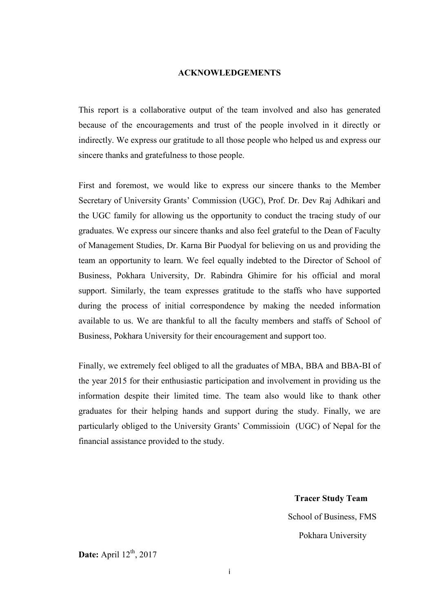#### **ACKNOWLEDGEMENTS**

This report is a collaborative output of the team involved and also has generated because of the encouragements and trust of the people involved in it directly or indirectly. We express our gratitude to all those people who helped us and express our sincere thanks and gratefulness to those people.

First and foremost, we would like to express our sincere thanks to the Member Secretary of University Grants' Commission (UGC), Prof. Dr. Dev Raj Adhikari and the UGC family for allowing us the opportunity to conduct the tracing study of our graduates. We express our sincere thanks and also feel grateful to the Dean of Faculty of Management Studies, Dr. Karna Bir Puodyal for believing on us and providing the team an opportunity to learn. We feel equally indebted to the Director of School of Business, Pokhara University, Dr. Rabindra Ghimire for his official and moral support. Similarly, the team expresses gratitude to the staffs who have supported during the process of initial correspondence by making the needed information available to us. We are thankful to all the faculty members and staffs of School of Business, Pokhara University for their encouragement and support too.

Finally, we extremely feel obliged to all the graduates of MBA, BBA and BBA-BI of the year 2015 for their enthusiastic participation and involvement in providing us the information despite their limited time. The team also would like to thank other graduates for their helping hands and support during the study. Finally, we are particularly obliged to the University Grants' Commissioin (UGC) of Nepal for the financial assistance provided to the study.

> **Tracer Study Team**  School of Business, FMS Pokhara University

**Date:** April 12<sup>th</sup>, 2017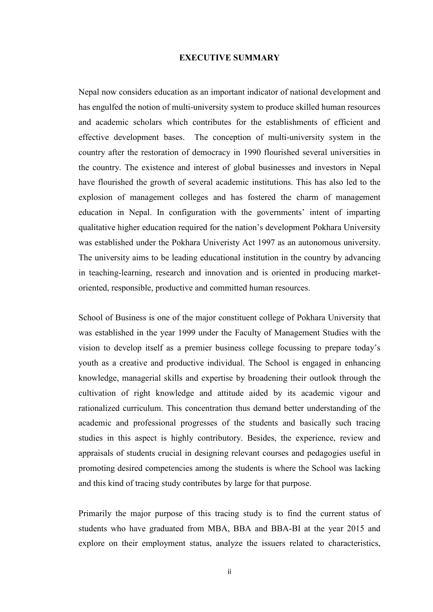#### **EXECUTIVE SUMMARY**

Nepal now considers education as an important indicator of national development and has engulfed the notion of multi-university system to produce skilled human resources and academic scholars which contributes for the establishments of efficient and effective development bases. The conception of multi-university system in the country after the restoration of democracy in 1990 flourished several universities in the country. The existence and interest of global businesses and investors in Nepal have flourished the growth of several academic institutions. This has also led to the explosion of management colleges and has fostered the charm of management education in Nepal. In configuration with the governments' intent of imparting qualitative higher education required for the nation's development Pokhara University was established under the Pokhara Univeristy Act 1997 as an autonomous university. The university aims to be leading educational institution in the country by advancing in teaching-learning, research and innovation and is oriented in producing marketoriented, responsible, productive and committed human resources.

School of Business is one of the major constituent college of Pokhara University that was established in the year 1999 under the Faculty of Management Studies with the vision to develop itself as a premier business college focussing to prepare today's youth as a creative and productive individual. The School is engaged in enhancing knowledge, managerial skills and expertise by broadening their outlook through the cultivation of right knowledge and attitude aided by its academic vigour and rationalized curriculum. This concentration thus demand better understanding of the academic and professional progresses of the students and basically such tracing studies in this aspect is highly contributory. Besides, the experience, review and appraisals of students crucial in designing relevant courses and pedagogies useful in promoting desired competencies among the students is where the School was lacking and this kind of tracing study contributes by large for that purpose.

Primarily the major purpose of this tracing study is to find the current status of students who have graduated from MBA, BBA and BBA-BI at the year 2015 and explore on their employment status, analyze the issuers related to characteristics,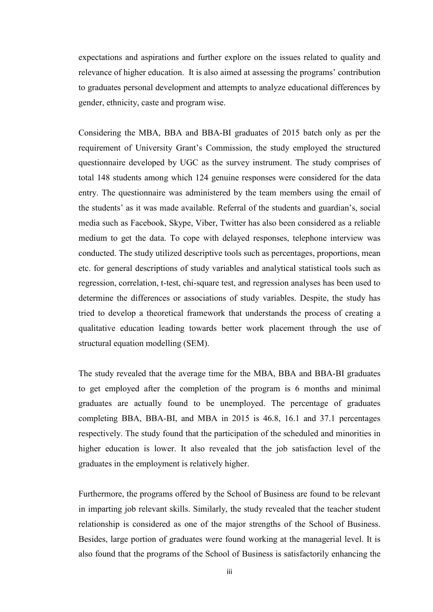expectations and aspirations and further explore on the issues related to quality and relevance of higher education. It is also aimed at assessing the programs' contribution to graduates personal development and attempts to analyze educational differences by gender, ethnicity, caste and program wise.

Considering the MBA, BBA and BBA-BI graduates of 2015 batch only as per the requirement of University Grant's Commission, the study employed the structured questionnaire developed by UGC as the survey instrument. The study comprises of total 148 students among which 124 genuine responses were considered for the data entry. The questionnaire was administered by the team members using the email of the students' as it was made available. Referral of the students and guardian's, social media such as Facebook, Skype, Viber, Twitter has also been considered as a reliable medium to get the data. To cope with delayed responses, telephone interview was conducted. The study utilized descriptive tools such as percentages, proportions, mean etc. for general descriptions of study variables and analytical statistical tools such as regression, correlation, t-test, chi-square test, and regression analyses has been used to determine the differences or associations of study variables. Despite, the study has tried to develop a theoretical framework that understands the process of creating a qualitative education leading towards better work placement through the use of structural equation modelling (SEM).

The study revealed that the average time for the MBA, BBA and BBA-BI graduates to get employed after the completion of the program is 6 months and minimal graduates are actually found to be unemployed. The percentage of graduates completing BBA, BBA-BI, and MBA in 2015 is 46.8, 16.1 and 37.1 percentages respectively. The study found that the participation of the scheduled and minorities in higher education is lower. It also revealed that the job satisfaction level of the graduates in the employment is relatively higher.

Furthermore, the programs offered by the School of Business are found to be relevant in imparting job relevant skills. Similarly, the study revealed that the teacher student relationship is considered as one of the major strengths of the School of Business. Besides, large portion of graduates were found working at the managerial level. It is also found that the programs of the School of Business is satisfactorily enhancing the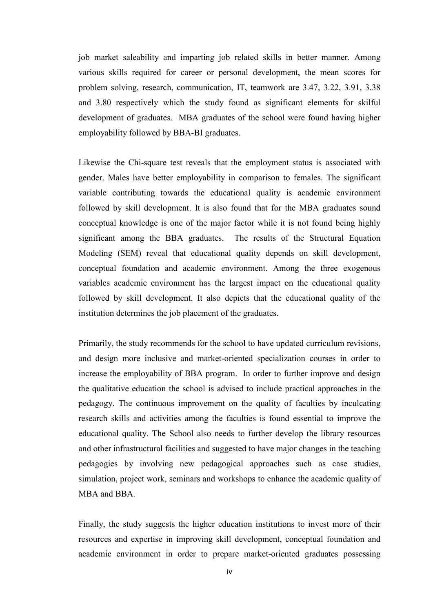job market saleability and imparting job related skills in better manner. Among various skills required for career or personal development, the mean scores for problem solving, research, communication, IT, teamwork are 3.47, 3.22, 3.91, 3.38 and 3.80 respectively which the study found as significant elements for skilful development of graduates. MBA graduates of the school were found having higher employability followed by BBA-BI graduates.

Likewise the Chi-square test reveals that the employment status is associated with gender. Males have better employability in comparison to females. The significant variable contributing towards the educational quality is academic environment followed by skill development. It is also found that for the MBA graduates sound conceptual knowledge is one of the major factor while it is not found being highly significant among the BBA graduates. The results of the Structural Equation Modeling (SEM) reveal that educational quality depends on skill development, conceptual foundation and academic environment. Among the three exogenous variables academic environment has the largest impact on the educational quality followed by skill development. It also depicts that the educational quality of the institution determines the job placement of the graduates.

Primarily, the study recommends for the school to have updated curriculum revisions, and design more inclusive and market-oriented specialization courses in order to increase the employability of BBA program. In order to further improve and design the qualitative education the school is advised to include practical approaches in the pedagogy. The continuous improvement on the quality of faculties by inculcating research skills and activities among the faculties is found essential to improve the educational quality. The School also needs to further develop the library resources and other infrastructural facilities and suggested to have major changes in the teaching pedagogies by involving new pedagogical approaches such as case studies, simulation, project work, seminars and workshops to enhance the academic quality of MBA and BBA

Finally, the study suggests the higher education institutions to invest more of their resources and expertise in improving skill development, conceptual foundation and academic environment in order to prepare market-oriented graduates possessing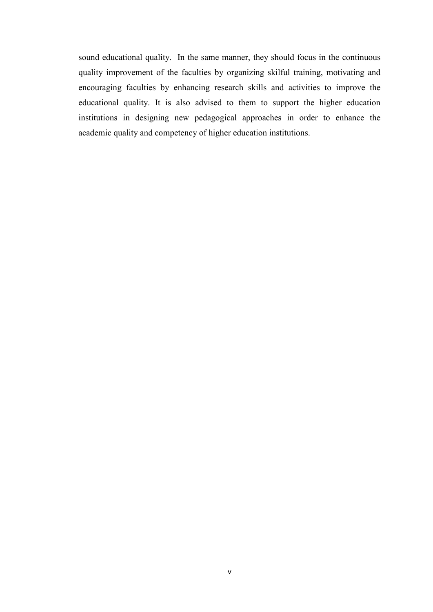sound educational quality. In the same manner, they should focus in the continuous quality improvement of the faculties by organizing skilful training, motivating and encouraging faculties by enhancing research skills and activities to improve the educational quality. It is also advised to them to support the higher education institutions in designing new pedagogical approaches in order to enhance the academic quality and competency of higher education institutions.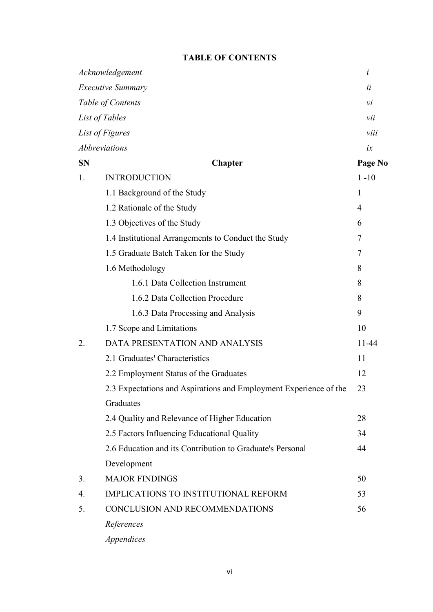### **TABLE OF CONTENTS**

|                  | Acknowledgement                                                   | i            |
|------------------|-------------------------------------------------------------------|--------------|
|                  | <b>Executive Summary</b>                                          | ii           |
|                  | Table of Contents                                                 | vi           |
|                  | List of Tables                                                    | vii          |
|                  | List of Figures                                                   | viii         |
|                  | Abbreviations                                                     | ix           |
| <b>SN</b>        | <b>Chapter</b>                                                    | Page No      |
| 1.               | <b>INTRODUCTION</b>                                               | $1 - 10$     |
|                  | 1.1 Background of the Study                                       | $\mathbf{1}$ |
|                  | 1.2 Rationale of the Study                                        | 4            |
|                  | 1.3 Objectives of the Study                                       | 6            |
|                  | 1.4 Institutional Arrangements to Conduct the Study               | 7            |
|                  | 1.5 Graduate Batch Taken for the Study                            | 7            |
|                  | 1.6 Methodology                                                   | 8            |
|                  | 1.6.1 Data Collection Instrument                                  | 8            |
|                  | 1.6.2 Data Collection Procedure                                   | 8            |
|                  | 1.6.3 Data Processing and Analysis                                | 9            |
|                  | 1.7 Scope and Limitations                                         | 10           |
| 2.               | DATA PRESENTATION AND ANALYSIS                                    | 11-44        |
|                  | 2.1 Graduates' Characteristics                                    | 11           |
|                  | 2.2 Employment Status of the Graduates                            | 12           |
|                  | 2.3 Expectations and Aspirations and Employment Experience of the | 23           |
|                  | Graduates                                                         |              |
|                  | 2.4 Quality and Relevance of Higher Education                     | 28           |
|                  | 2.5 Factors Influencing Educational Quality                       | 34           |
|                  | 2.6 Education and its Contribution to Graduate's Personal         | 44           |
|                  | Development                                                       |              |
| 3.               | <b>MAJOR FINDINGS</b>                                             | 50           |
| $\overline{4}$ . | IMPLICATIONS TO INSTITUTIONAL REFORM                              | 53           |
| 5.               | CONCLUSION AND RECOMMENDATIONS                                    | 56           |
|                  | References                                                        |              |
|                  |                                                                   |              |

*Appendices*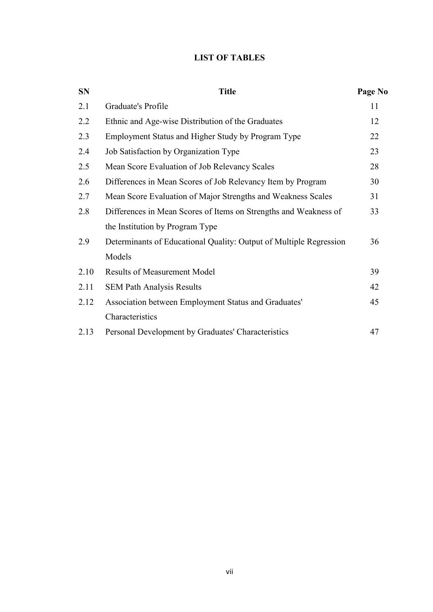### **LIST OF TABLES**

| <b>SN</b> | <b>Title</b>                                                       | Page No |
|-----------|--------------------------------------------------------------------|---------|
| 2.1       | Graduate's Profile                                                 | 11      |
| 2.2       | Ethnic and Age-wise Distribution of the Graduates                  | 12      |
| 2.3       | Employment Status and Higher Study by Program Type                 | 22      |
| 2.4       | Job Satisfaction by Organization Type                              | 23      |
| 2.5       | Mean Score Evaluation of Job Relevancy Scales                      | 28      |
| 2.6       | Differences in Mean Scores of Job Relevancy Item by Program        | 30      |
| 2.7       | Mean Score Evaluation of Major Strengths and Weakness Scales       | 31      |
| 2.8       | Differences in Mean Scores of Items on Strengths and Weakness of   | 33      |
|           | the Institution by Program Type                                    |         |
| 2.9       | Determinants of Educational Quality: Output of Multiple Regression | 36      |
|           | Models                                                             |         |
| 2.10      | <b>Results of Measurement Model</b>                                | 39      |
| 2.11      | <b>SEM Path Analysis Results</b>                                   | 42      |
| 2.12      | Association between Employment Status and Graduates'               | 45      |
|           | Characteristics                                                    |         |
| 2.13      | Personal Development by Graduates' Characteristics                 | 47      |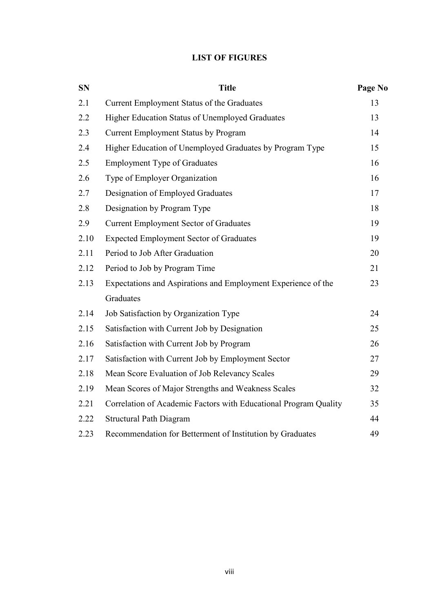### **LIST OF FIGURES**

| <b>SN</b> | <b>Title</b>                                                     | Page No |
|-----------|------------------------------------------------------------------|---------|
| 2.1       | Current Employment Status of the Graduates                       | 13      |
| 2.2       | Higher Education Status of Unemployed Graduates                  | 13      |
| 2.3       | Current Employment Status by Program                             | 14      |
| 2.4       | Higher Education of Unemployed Graduates by Program Type         | 15      |
| 2.5       | <b>Employment Type of Graduates</b>                              | 16      |
| 2.6       | Type of Employer Organization                                    | 16      |
| 2.7       | Designation of Employed Graduates                                | 17      |
| 2.8       | Designation by Program Type                                      | 18      |
| 2.9       | <b>Current Employment Sector of Graduates</b>                    | 19      |
| 2.10      | <b>Expected Employment Sector of Graduates</b>                   | 19      |
| 2.11      | Period to Job After Graduation                                   | 20      |
| 2.12      | Period to Job by Program Time                                    | 21      |
| 2.13      | Expectations and Aspirations and Employment Experience of the    | 23      |
|           | Graduates                                                        |         |
| 2.14      | Job Satisfaction by Organization Type                            | 24      |
| 2.15      | Satisfaction with Current Job by Designation                     | 25      |
| 2.16      | Satisfaction with Current Job by Program                         | 26      |
| 2.17      | Satisfaction with Current Job by Employment Sector               | 27      |
| 2.18      | Mean Score Evaluation of Job Relevancy Scales                    | 29      |
| 2.19      | Mean Scores of Major Strengths and Weakness Scales               | 32      |
| 2.21      | Correlation of Academic Factors with Educational Program Quality | 35      |
| 2.22      | <b>Structural Path Diagram</b>                                   | 44      |
| 2.23      | Recommendation for Betterment of Institution by Graduates        | 49      |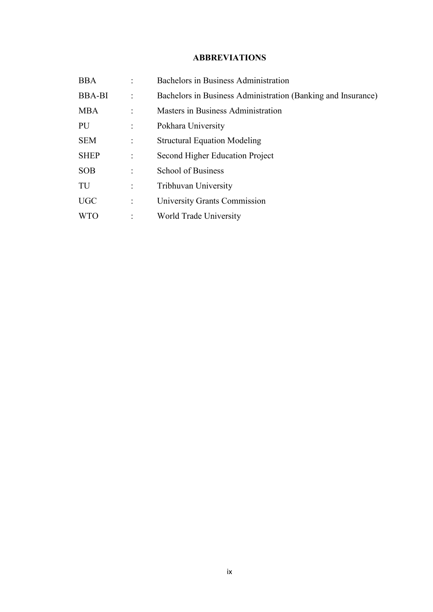### **ABBREVIATIONS**

| <b>BBA</b>    | Bachelors in Business Administration                         |
|---------------|--------------------------------------------------------------|
| <b>BBA-BI</b> | Bachelors in Business Administration (Banking and Insurance) |
| <b>MBA</b>    | Masters in Business Administration                           |
| PU            | Pokhara University                                           |
| <b>SEM</b>    | <b>Structural Equation Modeling</b>                          |
| <b>SHEP</b>   | Second Higher Education Project                              |
| <b>SOB</b>    | <b>School of Business</b>                                    |
| TU            | Tribhuvan University                                         |
| <b>UGC</b>    | University Grants Commission                                 |
| <b>WTO</b>    | World Trade University                                       |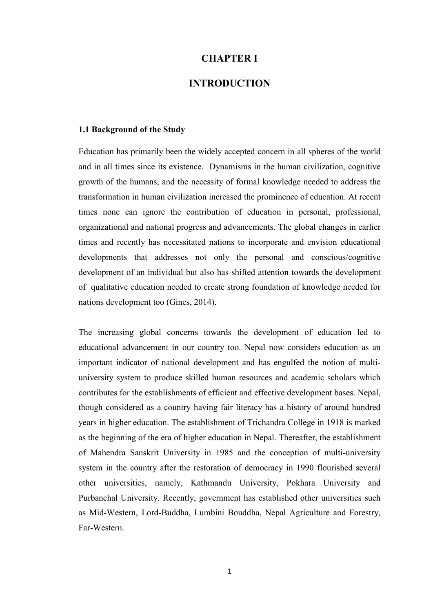### **CHAPTER I**

### **INTRODUCTION**

#### **1.1 Background of the Study**

Education has primarily been the widely accepted concern in all spheres of the world and in all times since its existence. Dynamisms in the human civilization, cognitive growth of the humans, and the necessity of formal knowledge needed to address the transformation in human civilization increased the prominence of education. At recent times none can ignore the contribution of education in personal, professional, organizational and national progress and advancements. The global changes in earlier times and recently has necessitated nations to incorporate and envision educational developments that addresses not only the personal and conscious/cognitive development of an individual but also has shifted attention towards the development of qualitative education needed to create strong foundation of knowledge needed for nations development too (Gines, 2014).

The increasing global concerns towards the development of education led to educational advancement in our country too. Nepal now considers education as an important indicator of national development and has engulfed the notion of multiuniversity system to produce skilled human resources and academic scholars which contributes for the establishments of efficient and effective development bases. Nepal, though considered as a country having fair literacy has a history of around hundred years in higher education. The establishment of Trichandra College in 1918 is marked as the beginning of the era of higher education in Nepal. Thereafter, the establishment of Mahendra Sanskrit University in 1985 and the conception of multi-university system in the country after the restoration of democracy in 1990 flourished several other universities, namely, Kathmandu University, Pokhara University and Purbanchal University. Recently, government has established other universities such as Mid-Western, Lord-Buddha, Lumbini Bouddha, Nepal Agriculture and Forestry, Far-Western.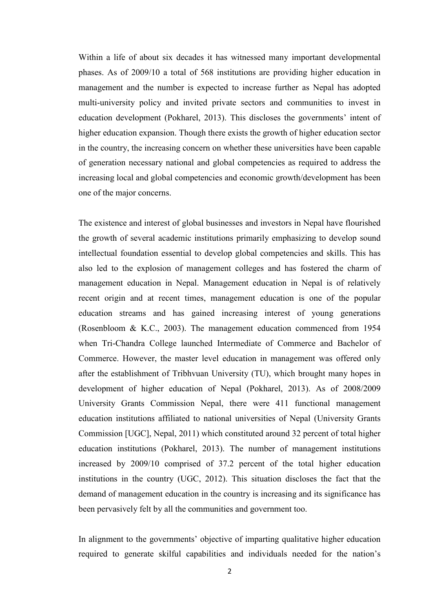Within a life of about six decades it has witnessed many important developmental phases. As of 2009/10 a total of 568 institutions are providing higher education in management and the number is expected to increase further as Nepal has adopted multi-university policy and invited private sectors and communities to invest in education development (Pokharel, 2013). This discloses the governments' intent of higher education expansion. Though there exists the growth of higher education sector in the country, the increasing concern on whether these universities have been capable of generation necessary national and global competencies as required to address the increasing local and global competencies and economic growth/development has been one of the major concerns.

The existence and interest of global businesses and investors in Nepal have flourished the growth of several academic institutions primarily emphasizing to develop sound intellectual foundation essential to develop global competencies and skills. This has also led to the explosion of management colleges and has fostered the charm of management education in Nepal. Management education in Nepal is of relatively recent origin and at recent times, management education is one of the popular education streams and has gained increasing interest of young generations (Rosenbloom & K.C., 2003). The management education commenced from 1954 when Tri-Chandra College launched Intermediate of Commerce and Bachelor of Commerce. However, the master level education in management was offered only after the establishment of Tribhvuan University (TU), which brought many hopes in development of higher education of Nepal (Pokharel, 2013). As of 2008/2009 University Grants Commission Nepal, there were 411 functional management education institutions affiliated to national universities of Nepal (University Grants Commission [UGC], Nepal, 2011) which constituted around 32 percent of total higher education institutions (Pokharel, 2013). The number of management institutions increased by 2009/10 comprised of 37.2 percent of the total higher education institutions in the country (UGC, 2012). This situation discloses the fact that the demand of management education in the country is increasing and its significance has been pervasively felt by all the communities and government too.

In alignment to the governments' objective of imparting qualitative higher education required to generate skilful capabilities and individuals needed for the nation's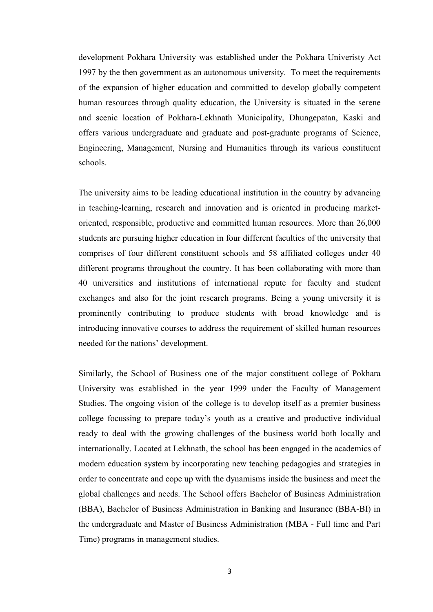development Pokhara University was established under the Pokhara Univeristy Act 1997 by the then government as an autonomous university. To meet the requirements of the expansion of higher education and committed to develop globally competent human resources through quality education, the University is situated in the serene and scenic location of Pokhara-Lekhnath Municipality, Dhungepatan, Kaski and offers various undergraduate and graduate and post-graduate programs of Science, Engineering, Management, Nursing and Humanities through its various constituent schools.

The university aims to be leading educational institution in the country by advancing in teaching-learning, research and innovation and is oriented in producing marketoriented, responsible, productive and committed human resources. More than 26,000 students are pursuing higher education in four different faculties of the university that comprises of four different constituent schools and 58 affiliated colleges under 40 different programs throughout the country. It has been collaborating with more than 40 universities and institutions of international repute for faculty and student exchanges and also for the joint research programs. Being a young university it is prominently contributing to produce students with broad knowledge and is introducing innovative courses to address the requirement of skilled human resources needed for the nations' development.

Similarly, the School of Business one of the major constituent college of Pokhara University was established in the year 1999 under the Faculty of Management Studies. The ongoing vision of the college is to develop itself as a premier business college focussing to prepare today's youth as a creative and productive individual ready to deal with the growing challenges of the business world both locally and internationally. Located at Lekhnath, the school has been engaged in the academics of modern education system by incorporating new teaching pedagogies and strategies in order to concentrate and cope up with the dynamisms inside the business and meet the global challenges and needs. The School offers Bachelor of Business Administration (BBA), Bachelor of Business Administration in Banking and Insurance (BBA-BI) in the undergraduate and Master of Business Administration (MBA - Full time and Part Time) programs in management studies.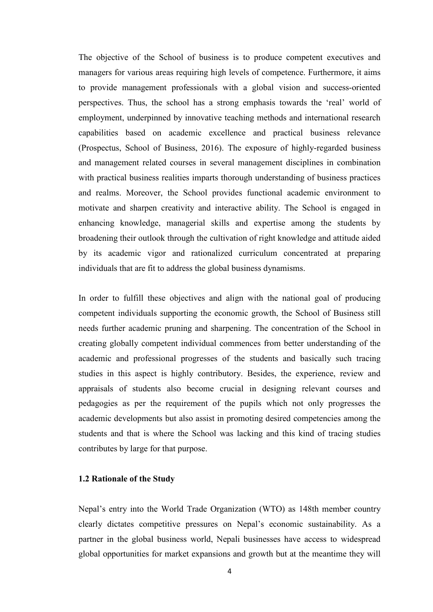The objective of the School of business is to produce competent executives and managers for various areas requiring high levels of competence. Furthermore, it aims to provide management professionals with a global vision and success-oriented perspectives. Thus, the school has a strong emphasis towards the 'real' world of employment, underpinned by innovative teaching methods and international research capabilities based on academic excellence and practical business relevance (Prospectus, School of Business, 2016). The exposure of highly-regarded business and management related courses in several management disciplines in combination with practical business realities imparts thorough understanding of business practices and realms. Moreover, the School provides functional academic environment to motivate and sharpen creativity and interactive ability. The School is engaged in enhancing knowledge, managerial skills and expertise among the students by broadening their outlook through the cultivation of right knowledge and attitude aided by its academic vigor and rationalized curriculum concentrated at preparing individuals that are fit to address the global business dynamisms.

In order to fulfill these objectives and align with the national goal of producing competent individuals supporting the economic growth, the School of Business still needs further academic pruning and sharpening. The concentration of the School in creating globally competent individual commences from better understanding of the academic and professional progresses of the students and basically such tracing studies in this aspect is highly contributory. Besides, the experience, review and appraisals of students also become crucial in designing relevant courses and pedagogies as per the requirement of the pupils which not only progresses the academic developments but also assist in promoting desired competencies among the students and that is where the School was lacking and this kind of tracing studies contributes by large for that purpose.

#### **1.2 Rationale of the Study**

Nepal's entry into the World Trade Organization (WTO) as 148th member country clearly dictates competitive pressures on Nepal's economic sustainability. As a partner in the global business world, Nepali businesses have access to widespread global opportunities for market expansions and growth but at the meantime they will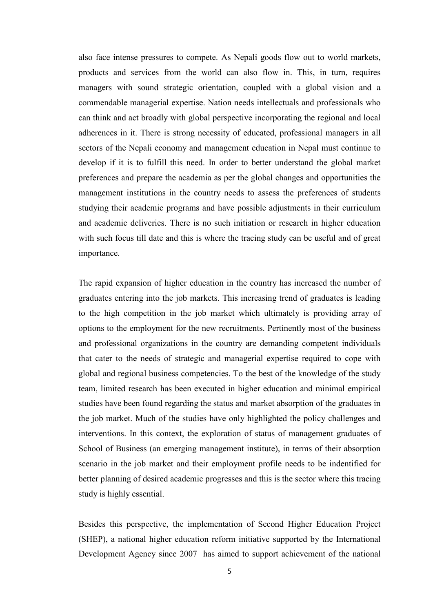also face intense pressures to compete. As Nepali goods flow out to world markets, products and services from the world can also flow in. This, in turn, requires managers with sound strategic orientation, coupled with a global vision and a commendable managerial expertise. Nation needs intellectuals and professionals who can think and act broadly with global perspective incorporating the regional and local adherences in it. There is strong necessity of educated, professional managers in all sectors of the Nepali economy and management education in Nepal must continue to develop if it is to fulfill this need. In order to better understand the global market preferences and prepare the academia as per the global changes and opportunities the management institutions in the country needs to assess the preferences of students studying their academic programs and have possible adjustments in their curriculum and academic deliveries. There is no such initiation or research in higher education with such focus till date and this is where the tracing study can be useful and of great importance.

The rapid expansion of higher education in the country has increased the number of graduates entering into the job markets. This increasing trend of graduates is leading to the high competition in the job market which ultimately is providing array of options to the employment for the new recruitments. Pertinently most of the business and professional organizations in the country are demanding competent individuals that cater to the needs of strategic and managerial expertise required to cope with global and regional business competencies. To the best of the knowledge of the study team, limited research has been executed in higher education and minimal empirical studies have been found regarding the status and market absorption of the graduates in the job market. Much of the studies have only highlighted the policy challenges and interventions. In this context, the exploration of status of management graduates of School of Business (an emerging management institute), in terms of their absorption scenario in the job market and their employment profile needs to be indentified for better planning of desired academic progresses and this is the sector where this tracing study is highly essential.

Besides this perspective, the implementation of Second Higher Education Project (SHEP), a national higher education reform initiative supported by the International Development Agency since 2007 has aimed to support achievement of the national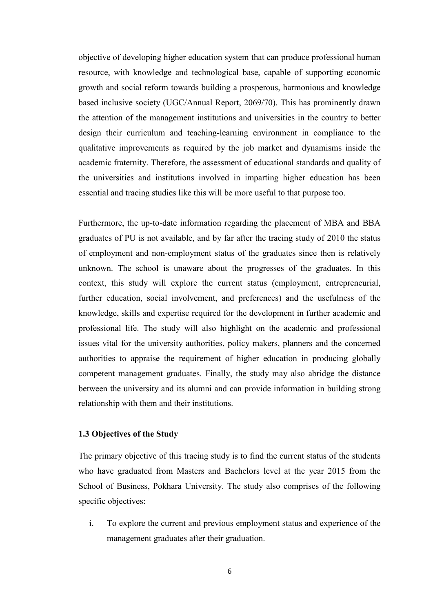objective of developing higher education system that can produce professional human resource, with knowledge and technological base, capable of supporting economic growth and social reform towards building a prosperous, harmonious and knowledge based inclusive society (UGC/Annual Report, 2069/70). This has prominently drawn the attention of the management institutions and universities in the country to better design their curriculum and teaching-learning environment in compliance to the qualitative improvements as required by the job market and dynamisms inside the academic fraternity. Therefore, the assessment of educational standards and quality of the universities and institutions involved in imparting higher education has been essential and tracing studies like this will be more useful to that purpose too.

Furthermore, the up-to-date information regarding the placement of MBA and BBA graduates of PU is not available, and by far after the tracing study of 2010 the status of employment and non-employment status of the graduates since then is relatively unknown. The school is unaware about the progresses of the graduates. In this context, this study will explore the current status (employment, entrepreneurial, further education, social involvement, and preferences) and the usefulness of the knowledge, skills and expertise required for the development in further academic and professional life. The study will also highlight on the academic and professional issues vital for the university authorities, policy makers, planners and the concerned authorities to appraise the requirement of higher education in producing globally competent management graduates. Finally, the study may also abridge the distance between the university and its alumni and can provide information in building strong relationship with them and their institutions.

#### **1.3 Objectives of the Study**

The primary objective of this tracing study is to find the current status of the students who have graduated from Masters and Bachelors level at the year 2015 from the School of Business, Pokhara University. The study also comprises of the following specific objectives:

i. To explore the current and previous employment status and experience of the management graduates after their graduation.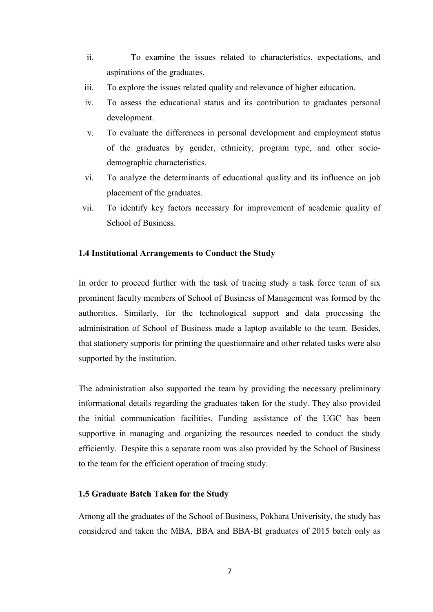- ii. To examine the issues related to characteristics, expectations, and aspirations of the graduates.
- iii. To explore the issues related quality and relevance of higher education.
- iv. To assess the educational status and its contribution to graduates personal development.
- v. To evaluate the differences in personal development and employment status of the graduates by gender, ethnicity, program type, and other sociodemographic characteristics.
- vi. To analyze the determinants of educational quality and its influence on job placement of the graduates.
- vii. To identify key factors necessary for improvement of academic quality of School of Business.

#### **1.4 Institutional Arrangements to Conduct the Study**

In order to proceed further with the task of tracing study a task force team of six prominent faculty members of School of Business of Management was formed by the authorities. Similarly, for the technological support and data processing the administration of School of Business made a laptop available to the team. Besides, that stationery supports for printing the questionnaire and other related tasks were also supported by the institution.

The administration also supported the team by providing the necessary preliminary informational details regarding the graduates taken for the study. They also provided the initial communication facilities. Funding assistance of the UGC has been supportive in managing and organizing the resources needed to conduct the study efficiently. Despite this a separate room was also provided by the School of Business to the team for the efficient operation of tracing study.

#### **1.5 Graduate Batch Taken for the Study**

Among all the graduates of the School of Business, Pokhara Univerisity, the study has considered and taken the MBA, BBA and BBA-BI graduates of 2015 batch only as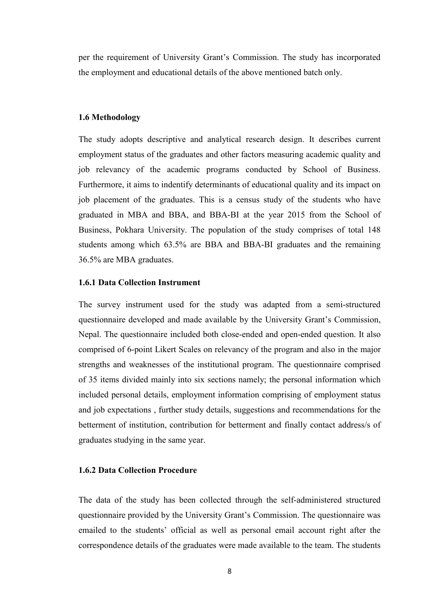per the requirement of University Grant's Commission. The study has incorporated the employment and educational details of the above mentioned batch only.

#### **1.6 Methodology**

The study adopts descriptive and analytical research design. It describes current employment status of the graduates and other factors measuring academic quality and job relevancy of the academic programs conducted by School of Business. Furthermore, it aims to indentify determinants of educational quality and its impact on job placement of the graduates. This is a census study of the students who have graduated in MBA and BBA, and BBA-BI at the year 2015 from the School of Business, Pokhara University. The population of the study comprises of total 148 students among which 63.5% are BBA and BBA-BI graduates and the remaining 36.5% are MBA graduates.

#### **1.6.1 Data Collection Instrument**

The survey instrument used for the study was adapted from a semi-structured questionnaire developed and made available by the University Grant's Commission, Nepal. The questionnaire included both close-ended and open-ended question. It also comprised of 6-point Likert Scales on relevancy of the program and also in the major strengths and weaknesses of the institutional program. The questionnaire comprised of 35 items divided mainly into six sections namely; the personal information which included personal details, employment information comprising of employment status and job expectations , further study details, suggestions and recommendations for the betterment of institution, contribution for betterment and finally contact address/s of graduates studying in the same year.

#### **1.6.2 Data Collection Procedure**

The data of the study has been collected through the self-administered structured questionnaire provided by the University Grant's Commission. The questionnaire was emailed to the students' official as well as personal email account right after the correspondence details of the graduates were made available to the team. The students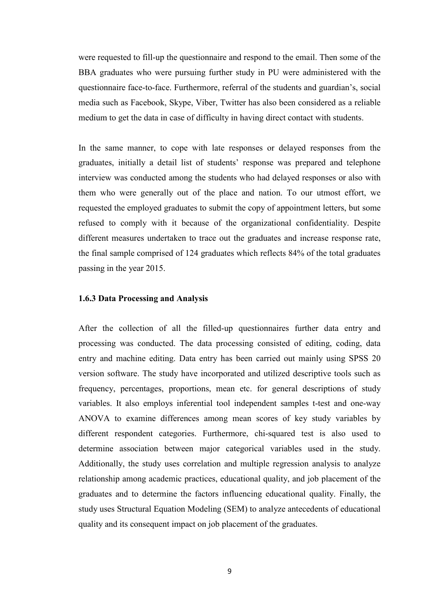were requested to fill-up the questionnaire and respond to the email. Then some of the BBA graduates who were pursuing further study in PU were administered with the questionnaire face-to-face. Furthermore, referral of the students and guardian's, social media such as Facebook, Skype, Viber, Twitter has also been considered as a reliable medium to get the data in case of difficulty in having direct contact with students.

In the same manner, to cope with late responses or delayed responses from the graduates, initially a detail list of students' response was prepared and telephone interview was conducted among the students who had delayed responses or also with them who were generally out of the place and nation. To our utmost effort, we requested the employed graduates to submit the copy of appointment letters, but some refused to comply with it because of the organizational confidentiality. Despite different measures undertaken to trace out the graduates and increase response rate, the final sample comprised of 124 graduates which reflects 84% of the total graduates passing in the year 2015.

#### **1.6.3 Data Processing and Analysis**

After the collection of all the filled-up questionnaires further data entry and processing was conducted. The data processing consisted of editing, coding, data entry and machine editing. Data entry has been carried out mainly using SPSS 20 version software. The study have incorporated and utilized descriptive tools such as frequency, percentages, proportions, mean etc. for general descriptions of study variables. It also employs inferential tool independent samples t-test and one-way ANOVA to examine differences among mean scores of key study variables by different respondent categories. Furthermore, chi-squared test is also used to determine association between major categorical variables used in the study. Additionally, the study uses correlation and multiple regression analysis to analyze relationship among academic practices, educational quality, and job placement of the graduates and to determine the factors influencing educational quality. Finally, the study uses Structural Equation Modeling (SEM) to analyze antecedents of educational quality and its consequent impact on job placement of the graduates.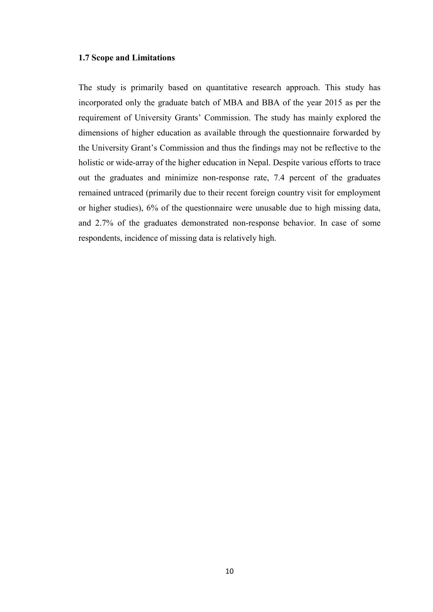#### **1.7 Scope and Limitations**

The study is primarily based on quantitative research approach. This study has incorporated only the graduate batch of MBA and BBA of the year 2015 as per the requirement of University Grants' Commission. The study has mainly explored the dimensions of higher education as available through the questionnaire forwarded by the University Grant's Commission and thus the findings may not be reflective to the holistic or wide-array of the higher education in Nepal. Despite various efforts to trace out the graduates and minimize non-response rate, 7.4 percent of the graduates remained untraced (primarily due to their recent foreign country visit for employment or higher studies), 6% of the questionnaire were unusable due to high missing data, and 2.7% of the graduates demonstrated non-response behavior. In case of some respondents, incidence of missing data is relatively high.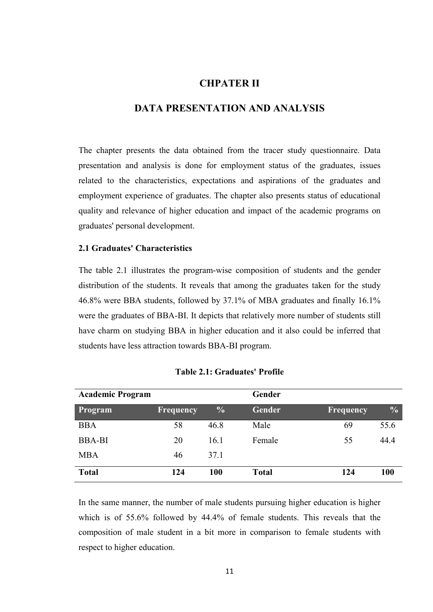### **CHPATER II**

### **DATA PRESENTATION AND ANALYSIS**

The chapter presents the data obtained from the tracer study questionnaire. Data presentation and analysis is done for employment status of the graduates, issues related to the characteristics, expectations and aspirations of the graduates and employment experience of graduates. The chapter also presents status of educational quality and relevance of higher education and impact of the academic programs on graduates' personal development.

#### **2.1 Graduates' Characteristics**

The table 2.1 illustrates the program-wise composition of students and the gender distribution of the students. It reveals that among the graduates taken for the study 46.8% were BBA students, followed by 37.1% of MBA graduates and finally 16.1% were the graduates of BBA-BI. It depicts that relatively more number of students still have charm on studying BBA in higher education and it also could be inferred that students have less attraction towards BBA-BI program.

| <b>Academic Program</b> |                  |               | Gender       |                  |               |
|-------------------------|------------------|---------------|--------------|------------------|---------------|
| Program                 | <b>Frequency</b> | $\frac{0}{0}$ | Gender       | <b>Frequency</b> | $\frac{0}{0}$ |
| <b>BBA</b>              | 58               | 46.8          | Male         | 69               | 55.6          |
| <b>BBA-BI</b>           | 20               | 16.1          | Female       | 55               | 44.4          |
| <b>MBA</b>              | 46               | 37.1          |              |                  |               |
| <b>Total</b>            | 124              | 100           | <b>Total</b> | 124              | 100           |

#### **Table 2.1: Graduates' Profile**

In the same manner, the number of male students pursuing higher education is higher which is of 55.6% followed by 44.4% of female students. This reveals that the composition of male student in a bit more in comparison to female students with respect to higher education.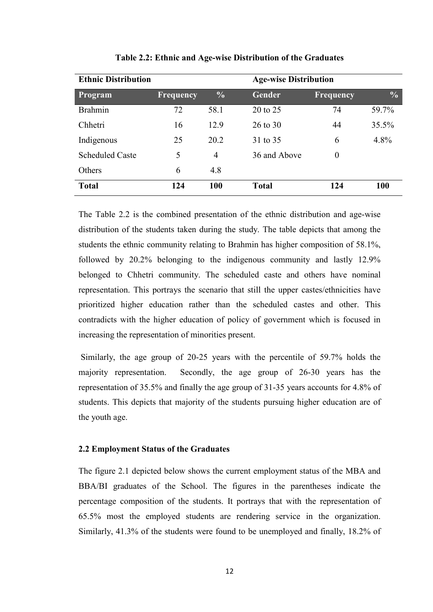| <b>Ethnic Distribution</b> |                  |                | <b>Age-wise Distribution</b> |                  |               |  |  |  |
|----------------------------|------------------|----------------|------------------------------|------------------|---------------|--|--|--|
| Program                    | <b>Frequency</b> | $\frac{0}{0}$  | <b>Gender</b>                | Frequency        | $\frac{0}{0}$ |  |  |  |
| <b>Brahmin</b>             | 72               | 58.1           | 20 to 25                     | 74               | 59.7%         |  |  |  |
| Chhetri                    | 16               | 12.9           | 26 to 30                     | 44               | 35.5%         |  |  |  |
| Indigenous                 | 25               | 20.2           | 31 to 35                     | 6                | 4.8%          |  |  |  |
| <b>Scheduled Caste</b>     | 5                | $\overline{4}$ | 36 and Above                 | $\boldsymbol{0}$ |               |  |  |  |
| Others                     | 6                | 4.8            |                              |                  |               |  |  |  |
| <b>Total</b>               | 124              | 100            | <b>Total</b>                 | 124              | <b>100</b>    |  |  |  |

**Table 2.2: Ethnic and Age-wise Distribution of the Graduates** 

The Table 2.2 is the combined presentation of the ethnic distribution and age-wise distribution of the students taken during the study. The table depicts that among the students the ethnic community relating to Brahmin has higher composition of 58.1%, followed by 20.2% belonging to the indigenous community and lastly 12.9% belonged to Chhetri community. The scheduled caste and others have nominal representation. This portrays the scenario that still the upper castes/ethnicities have prioritized higher education rather than the scheduled castes and other. This contradicts with the higher education of policy of government which is focused in increasing the representation of minorities present.

 Similarly, the age group of 20-25 years with the percentile of 59.7% holds the majority representation. Secondly, the age group of 26-30 years has the representation of 35.5% and finally the age group of 31-35 years accounts for 4.8% of students. This depicts that majority of the students pursuing higher education are of the youth age.

#### **2.2 Employment Status of the Graduates**

The figure 2.1 depicted below shows the current employment status of the MBA and BBA/BI graduates of the School. The figures in the parentheses indicate the percentage composition of the students. It portrays that with the representation of 65.5% most the employed students are rendering service in the organization. Similarly, 41.3% of the students were found to be unemployed and finally, 18.2% of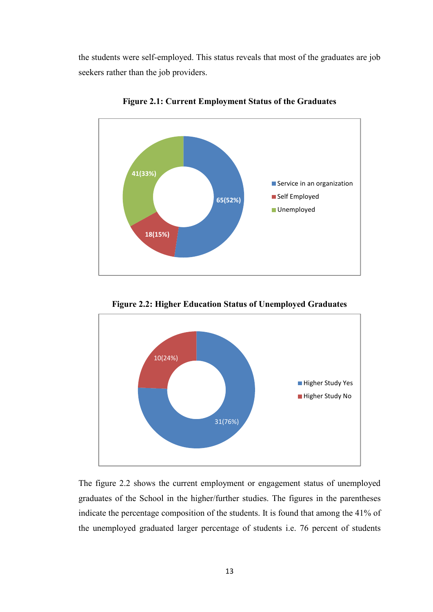the students were self-employed. This status reveals that most of the graduates are job seekers rather than the job providers.



**Figure 2.1: Current Employment Status of the Graduates** 

31(76%) 10(24%) Higher Study Yes Higher Study No

**Figure 2.2: Higher Education Status of Unemployed Graduates**

The figure 2.2 shows the current employment or engagement status of unemployed graduates of the School in the higher/further studies. The figures in the parentheses indicate the percentage composition of the students. It is found that among the 41% of the unemployed graduated larger percentage of students i.e. 76 percent of students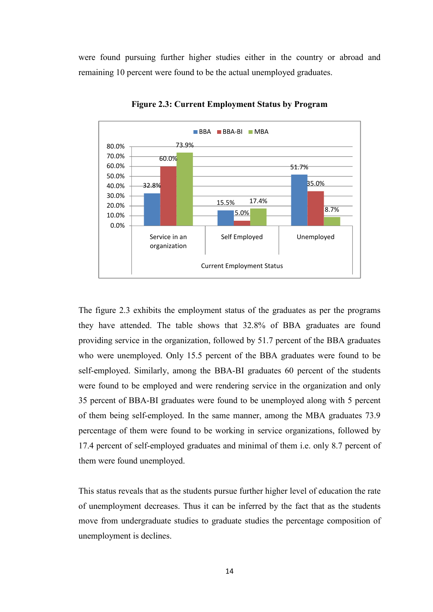were found pursuing further higher studies either in the country or abroad and remaining 10 percent were found to be the actual unemployed graduates.



**Figure 2.3: Current Employment Status by Program** 

The figure 2.3 exhibits the employment status of the graduates as per the programs they have attended. The table shows that 32.8% of BBA graduates are found providing service in the organization, followed by 51.7 percent of the BBA graduates who were unemployed. Only 15.5 percent of the BBA graduates were found to be self-employed. Similarly, among the BBA-BI graduates 60 percent of the students were found to be employed and were rendering service in the organization and only 35 percent of BBA-BI graduates were found to be unemployed along with 5 percent of them being self-employed. In the same manner, among the MBA graduates 73.9 percentage of them were found to be working in service organizations, followed by 17.4 percent of self-employed graduates and minimal of them i.e. only 8.7 percent of them were found unemployed.

This status reveals that as the students pursue further higher level of education the rate of unemployment decreases. Thus it can be inferred by the fact that as the students move from undergraduate studies to graduate studies the percentage composition of unemployment is declines.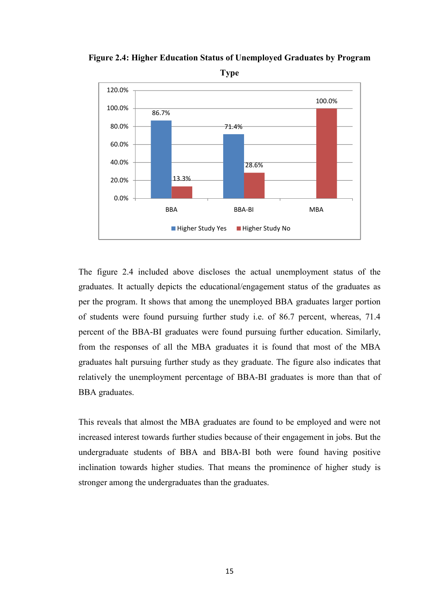

**Figure 2.4: Higher Education Status of Unemployed Graduates by Program** 

**Type** 

The figure 2.4 included above discloses the actual unemployment status of the graduates. It actually depicts the educational/engagement status of the graduates as per the program. It shows that among the unemployed BBA graduates larger portion of students were found pursuing further study i.e. of 86.7 percent, whereas, 71.4 percent of the BBA-BI graduates were found pursuing further education. Similarly, from the responses of all the MBA graduates it is found that most of the MBA graduates halt pursuing further study as they graduate. The figure also indicates that relatively the unemployment percentage of BBA-BI graduates is more than that of BBA graduates.

This reveals that almost the MBA graduates are found to be employed and were not increased interest towards further studies because of their engagement in jobs. But the undergraduate students of BBA and BBA-BI both were found having positive inclination towards higher studies. That means the prominence of higher study is stronger among the undergraduates than the graduates.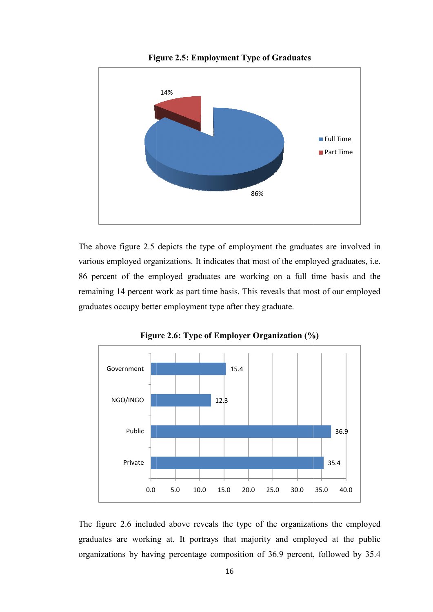

**Figure 2.5: Employment Type of Graduates**

The above figure 2.5 depicts the type of employment the graduates are involved in various employed organizations. It indicates that most of the employed graduates, i.e. 86 percent of the employed graduates are working on a full time basis and the remaining 14 percent work as part time basis. This reveals that most of our employed graduates occupy better employment type after they graduate.



**Figure 2.6: Type of Employer Organization (%)**

The figure 2.6 included above reveals the type of the organizations the employed graduates are working at. It portrays that majority and employed at the public organizations by having percentage composition of 36.9 percent, followed by 35.4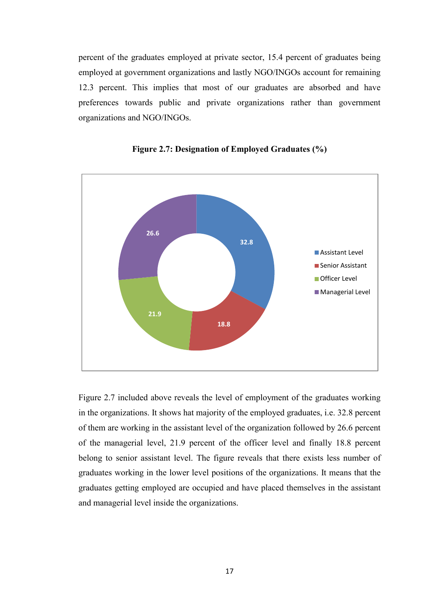percent of the graduates employed at private sector, 15.4 percent of graduates being employed at government organizations and lastly NGO/INGOs account for remaining 12.3 percent. This implies that most of our graduates are absorbed and have preferences towards public and private organizations rather than government organizations and NGO/INGOs.





Figure 2.7 included above reveals the level of employment of the graduates working in the organizations. It shows hat majority of the employed graduates, i.e. 32.8 percent of them are working in the assistant level of the organization followed by 26.6 percent of the managerial level, 21.9 percent of the officer level and finally 18.8 percent belong to senior assistant level. The figure reveals that there exists less number of graduates working in the lower level positions of the organizations. It means that the graduates getting employed are occupied and have placed themselves in the assistant and managerial level inside the organizations.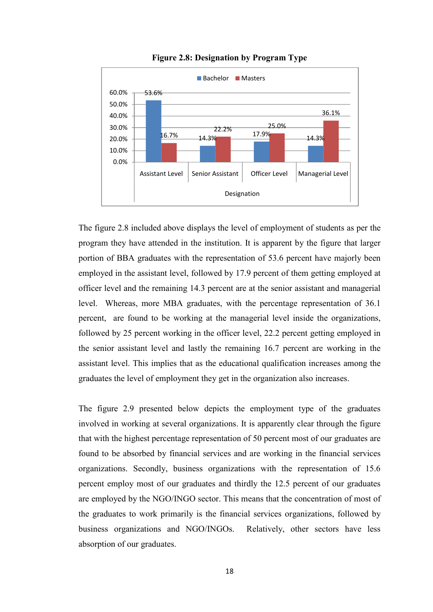

**Figure 2.8: Designation by Program Type** 

The figure 2.8 included above displays the level of employment of students as per the program they have attended in the institution. It is apparent by the figure that larger portion of BBA graduates with the representation of 53.6 percent have majorly been employed in the assistant level, followed by 17.9 percent of them getting employed at officer level and the remaining 14.3 percent are at the senior assistant and managerial level. Whereas, more MBA graduates, with the percentage representation of 36.1 percent, are found to be working at the managerial level inside the organizations, followed by 25 percent working in the officer level, 22.2 percent getting employed in the senior assistant level and lastly the remaining 16.7 percent are working in the assistant level. This implies that as the educational qualification increases among the graduates the level of employment they get in the organization also increases.

The figure 2.9 presented below depicts the employment type of the graduates involved in working at several organizations. It is apparently clear through the figure that with the highest percentage representation of 50 percent most of our graduates are found to be absorbed by financial services and are working in the financial services organizations. Secondly, business organizations with the representation of 15.6 percent employ most of our graduates and thirdly the 12.5 percent of our graduates are employed by the NGO/INGO sector. This means that the concentration of most of the graduates to work primarily is the financial services organizations, followed by business organizations and NGO/INGOs. Relatively, other sectors have less absorption of our graduates.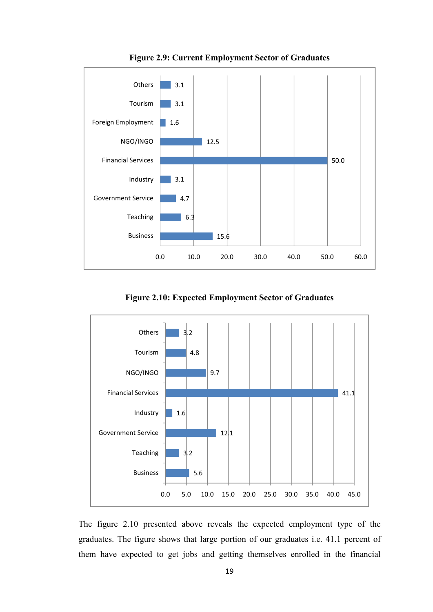

**Figure 2.9: Current Employment Sector of Graduates** 

**Figure 2.10: Expected Employment Sector of Graduates** 



The figure 2.10 presented above reveals the expected employment type of the graduates. The figure shows that large portion of our graduates i.e. 41.1 percent of them have expected to get jobs and getting themselves enrolled in the financial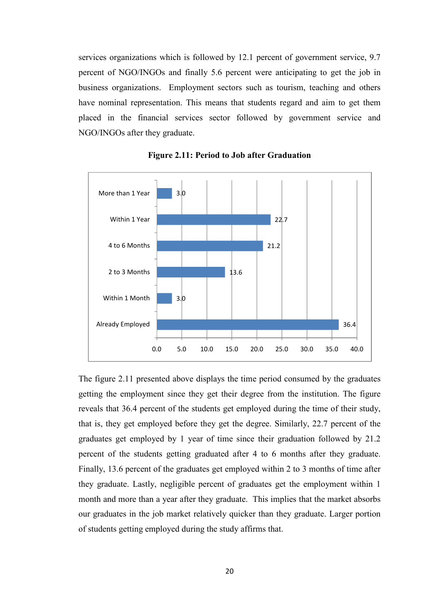services organizations which is followed by 12.1 percent of government service, 9.7 percent of NGO/INGOs and finally 5.6 percent were anticipating to get the job in business organizations. Employment sectors such as tourism, teaching and others have nominal representation. This means that students regard and aim to get them placed in the financial services sector followed by government service and NGO/INGOs after they graduate.



**Figure 2.11: Period to Job after Graduation** 

The figure 2.11 presented above displays the time period consumed by the graduates getting the employment since they get their degree from the institution. The figure reveals that 36.4 percent of the students get employed during the time of their study, that is, they get employed before they get the degree. Similarly, 22.7 percent of the graduates get employed by 1 year of time since their graduation followed by 21.2 percent of the students getting graduated after 4 to 6 months after they graduate. Finally, 13.6 percent of the graduates get employed within 2 to 3 months of time after they graduate. Lastly, negligible percent of graduates get the employment within 1 month and more than a year after they graduate. This implies that the market absorbs our graduates in the job market relatively quicker than they graduate. Larger portion of students getting employed during the study affirms that.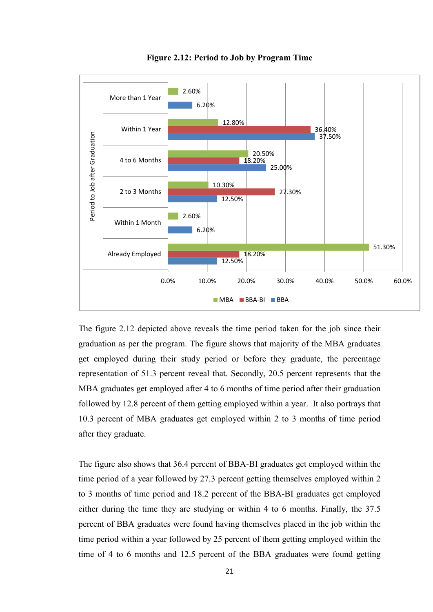

**Figure 2.12: Period to Job by Program Time** 

The figure 2.12 depicted above reveals the time period taken for the job since their graduation as per the program. The figure shows that majority of the MBA graduates get employed during their study period or before they graduate, the percentage representation of 51.3 percent reveal that. Secondly, 20.5 percent represents that the MBA graduates get employed after 4 to 6 months of time period after their graduation followed by 12.8 percent of them getting employed within a year. It also portrays that 10.3 percent of MBA graduates get employed within 2 to 3 months of time period after they graduate.

The figure also shows that 36.4 percent of BBA-BI graduates get employed within the time period of a year followed by 27.3 percent getting themselves employed within 2 to 3 months of time period and 18.2 percent of the BBA-BI graduates get employed either during the time they are studying or within 4 to 6 months. Finally, the 37.5 percent of BBA graduates were found having themselves placed in the job within the time period within a year followed by 25 percent of them getting employed within the time of 4 to 6 months and 12.5 percent of the BBA graduates were found getting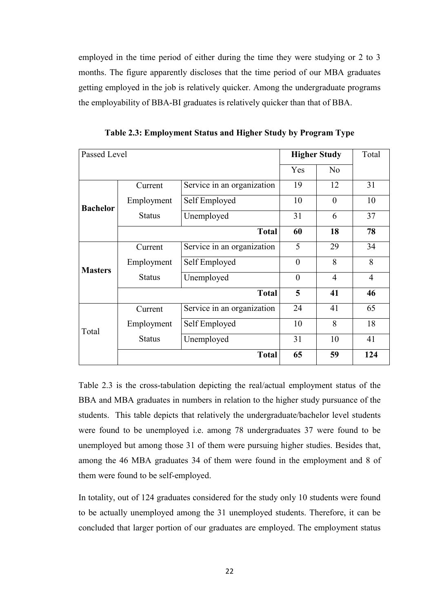employed in the time period of either during the time they were studying or 2 to 3 months. The figure apparently discloses that the time period of our MBA graduates getting employed in the job is relatively quicker. Among the undergraduate programs the employability of BBA-BI graduates is relatively quicker than that of BBA.

| Passed Level    |               |                            | <b>Higher Study</b> | Total          |                |
|-----------------|---------------|----------------------------|---------------------|----------------|----------------|
|                 |               |                            | Yes                 | N <sub>o</sub> |                |
|                 | Current       | Service in an organization | 19                  | 12             | 31             |
| <b>Bachelor</b> | Employment    | Self Employed              | 10                  | $\theta$       | 10             |
|                 | <b>Status</b> | Unemployed                 | 31                  | 6              | 37             |
|                 |               | <b>Total</b>               | 60                  | 18             | 78             |
|                 | Current       | Service in an organization | 5                   | 29             | 34             |
| <b>Masters</b>  | Employment    | Self Employed              | $\overline{0}$      | 8              | 8              |
|                 | <b>Status</b> | Unemployed                 | $\theta$            | 4              | $\overline{4}$ |
|                 |               | <b>Total</b>               | 5                   | 41             | 46             |
|                 | Current       | Service in an organization | 24                  | 41             | 65             |
| Total           | Employment    | Self Employed              | 10                  | 8              | 18             |
|                 | <b>Status</b> | Unemployed                 | 31                  | 10             | 41             |
|                 |               | <b>Total</b>               | 65                  | 59             | 124            |

**Table 2.3: Employment Status and Higher Study by Program Type** 

Table 2.3 is the cross-tabulation depicting the real/actual employment status of the BBA and MBA graduates in numbers in relation to the higher study pursuance of the students. This table depicts that relatively the undergraduate/bachelor level students were found to be unemployed i.e. among 78 undergraduates 37 were found to be unemployed but among those 31 of them were pursuing higher studies. Besides that, among the 46 MBA graduates 34 of them were found in the employment and 8 of them were found to be self-employed.

In totality, out of 124 graduates considered for the study only 10 students were found to be actually unemployed among the 31 unemployed students. Therefore, it can be concluded that larger portion of our graduates are employed. The employment status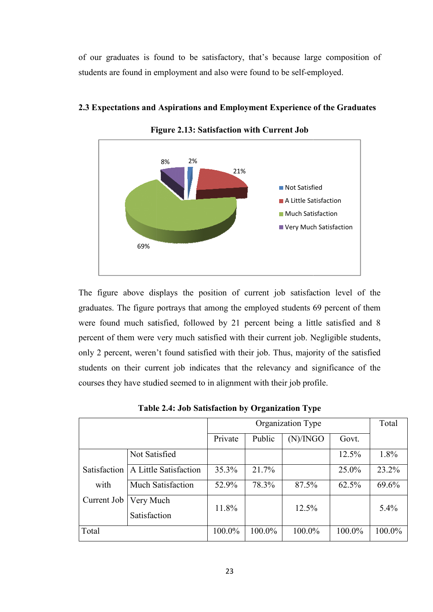of our graduates is found to be satisfactory, that's because large composition of students are found in employment and also were found to be self-employed.



#### **2.3 Expectations and Aspirations and Aspirations and Employment Experience of the Graduates**

**Figure igure 2.13: Satisfaction with Current Job**

The figure above displays the position of current job satisfaction level of the graduates. The figure portrays that among the employed students 69 percent of them were found much satisfied, followed by 21 percent being a little satisfied and 8 percent of them were very much satisfied with their current job. Negligible students, only 2 percent, weren't found satisfied with their job. Thus, majority of the satisfied students on their current job indicates that the relevancy and significance of the courses they have studied seemed to in alignment with their job profile.

|              | Organization Type         |         |        |          |        |        |
|--------------|---------------------------|---------|--------|----------|--------|--------|
|              |                           | Private | Public | (N)/INGO | Govt.  |        |
|              | Not Satisfied             |         |        |          | 12.5%  | 1.8%   |
| Satisfaction | A Little Satisfaction     | 35.3%   | 21.7%  |          | 25.0%  | 23.2%  |
| with         | <b>Much Satisfaction</b>  | 52.9%   | 78.3%  | 87.5%    | 62.5%  | 69.6%  |
| Current Job  | Very Much<br>Satisfaction | 11.8%   |        | 12.5%    |        | 5.4%   |
| Total        |                           | 100.0%  | 100.0% | 100.0%   | 100.0% | 100.0% |

**Table 2.4: Job Satisfaction by Organization Type**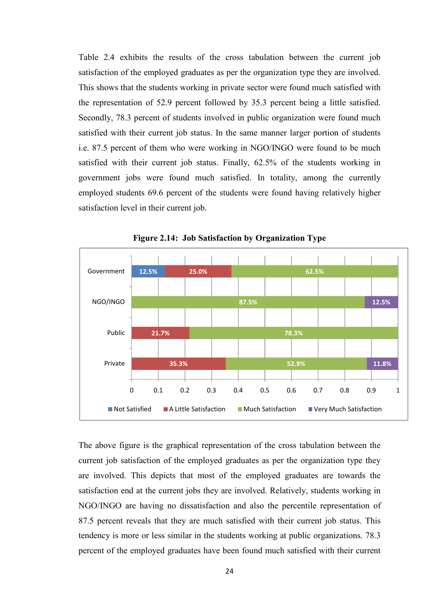Table 2.4 exhibits the results of the cross tabulation between the current job satisfaction of the employed graduates as per the organization type they are involved. This shows that the students working in private sector were found much satisfied with the representation of 52.9 percent followed by 35.3 percent being a little satisfied. Secondly, 78.3 percent of students involved in public organization were found much satisfied with their current job status. In the same manner larger portion of students i.e. 87.5 percent of them who were working in NGO/INGO were found to be much satisfied with their current job status. Finally, 62.5% of the students working in government jobs were found much satisfied. In totality, among the currently employed students 69.6 percent of the students were found having relatively higher satisfaction level in their current job.



**Figure 2.14: Job Satisfaction by Organization Type**

The above figure is the graphical representation of the cross tabulation between the current job satisfaction of the employed graduates as per the organization type they are involved. This depicts that most of the employed graduates are towards the satisfaction end at the current jobs they are involved. Relatively, students working in NGO/INGO are having no dissatisfaction and also the percentile representation of 87.5 percent reveals that they are much satisfied with their current job status. This tendency is more or less similar in the students working at public organizations. 78.3 percent of the employed graduates have been found much satisfied with their current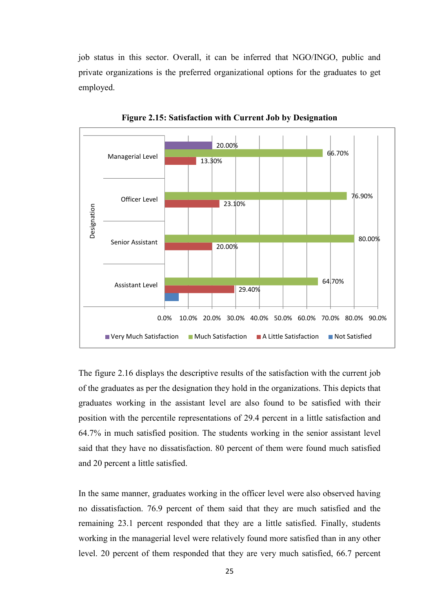job status in this sector. Overall, it can be inferred that NGO/INGO, public and private organizations is the preferred organizational options for the graduates to get employed.



**Figure 2.15: Satisfaction with Current Job by Designation** 

The figure 2.16 displays the descriptive results of the satisfaction with the current job of the graduates as per the designation they hold in the organizations. This depicts that graduates working in the assistant level are also found to be satisfied with their position with the percentile representations of 29.4 percent in a little satisfaction and 64.7% in much satisfied position. The students working in the senior assistant level said that they have no dissatisfaction. 80 percent of them were found much satisfied and 20 percent a little satisfied.

In the same manner, graduates working in the officer level were also observed having no dissatisfaction. 76.9 percent of them said that they are much satisfied and the remaining 23.1 percent responded that they are a little satisfied. Finally, students working in the managerial level were relatively found more satisfied than in any other level. 20 percent of them responded that they are very much satisfied, 66.7 percent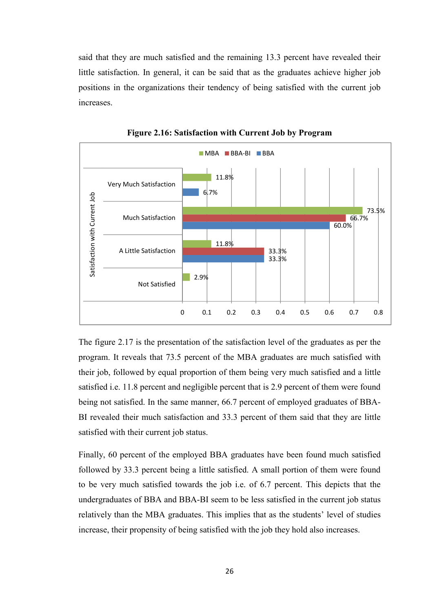said that they are much satisfied and the remaining 13.3 percent have revealed their little satisfaction. In general, it can be said that as the graduates achieve higher job positions in the organizations their tendency of being satisfied with the current job increases.



**Figure 2.16: Satisfaction with Current Job by Program** 

The figure 2.17 is the presentation of the satisfaction level of the graduates as per the program. It reveals that 73.5 percent of the MBA graduates are much satisfied with their job, followed by equal proportion of them being very much satisfied and a little satisfied i.e. 11.8 percent and negligible percent that is 2.9 percent of them were found being not satisfied. In the same manner, 66.7 percent of employed graduates of BBA-BI revealed their much satisfaction and 33.3 percent of them said that they are little satisfied with their current job status.

Finally, 60 percent of the employed BBA graduates have been found much satisfied followed by 33.3 percent being a little satisfied. A small portion of them were found to be very much satisfied towards the job i.e. of 6.7 percent. This depicts that the undergraduates of BBA and BBA-BI seem to be less satisfied in the current job status relatively than the MBA graduates. This implies that as the students' level of studies increase, their propensity of being satisfied with the job they hold also increases.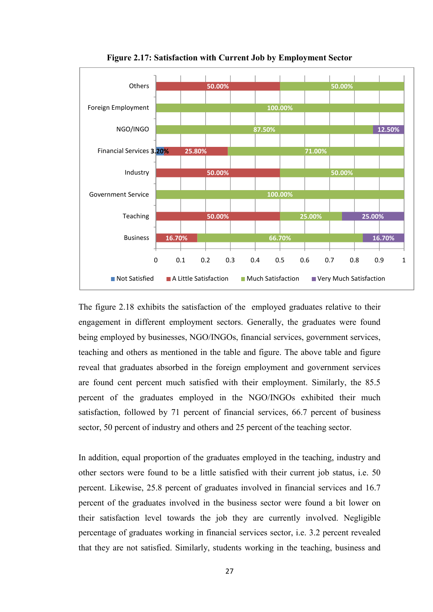

**Figure 2.17: Satisfaction with Current Job by Employment Sector** 

The figure 2.18 exhibits the satisfaction of the employed graduates relative to their engagement in different employment sectors. Generally, the graduates were found being employed by businesses, NGO/INGOs, financial services, government services, teaching and others as mentioned in the table and figure. The above table and figure reveal that graduates absorbed in the foreign employment and government services are found cent percent much satisfied with their employment. Similarly, the 85.5 percent of the graduates employed in the NGO/INGOs exhibited their much satisfaction, followed by 71 percent of financial services, 66.7 percent of business sector, 50 percent of industry and others and 25 percent of the teaching sector.

In addition, equal proportion of the graduates employed in the teaching, industry and other sectors were found to be a little satisfied with their current job status, i.e. 50 percent. Likewise, 25.8 percent of graduates involved in financial services and 16.7 percent of the graduates involved in the business sector were found a bit lower on their satisfaction level towards the job they are currently involved. Negligible percentage of graduates working in financial services sector, i.e. 3.2 percent revealed that they are not satisfied. Similarly, students working in the teaching, business and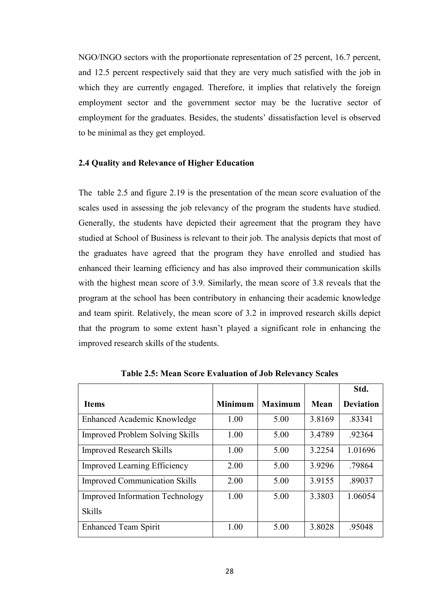NGO/INGO sectors with the proportionate representation of 25 percent, 16.7 percent, and 12.5 percent respectively said that they are very much satisfied with the job in which they are currently engaged. Therefore, it implies that relatively the foreign employment sector and the government sector may be the lucrative sector of employment for the graduates. Besides, the students' dissatisfaction level is observed to be minimal as they get employed.

#### **2.4 Quality and Relevance of Higher Education**

The table 2.5 and figure 2.19 is the presentation of the mean score evaluation of the scales used in assessing the job relevancy of the program the students have studied. Generally, the students have depicted their agreement that the program they have studied at School of Business is relevant to their job. The analysis depicts that most of the graduates have agreed that the program they have enrolled and studied has enhanced their learning efficiency and has also improved their communication skills with the highest mean score of 3.9. Similarly, the mean score of 3.8 reveals that the program at the school has been contributory in enhancing their academic knowledge and team spirit. Relatively, the mean score of 3.2 in improved research skills depict that the program to some extent hasn't played a significant role in enhancing the improved research skills of the students.

|                                        |                |                |        | Std.             |
|----------------------------------------|----------------|----------------|--------|------------------|
| <b>Items</b>                           | <b>Minimum</b> | <b>Maximum</b> | Mean   | <b>Deviation</b> |
| Enhanced Academic Knowledge            | 1.00           | 5.00           | 3.8169 | .83341           |
| <b>Improved Problem Solving Skills</b> | 1.00           | 5.00           | 3.4789 | .92364           |
| <b>Improved Research Skills</b>        | 1.00           | 5.00           | 3.2254 | 1.01696          |
| <b>Improved Learning Efficiency</b>    | 2.00           | 5.00           | 3.9296 | .79864           |
| <b>Improved Communication Skills</b>   | 2.00           | 5.00           | 3.9155 | .89037           |
| <b>Improved Information Technology</b> | 1.00           | 5.00           | 3.3803 | 1.06054          |
| <b>Skills</b>                          |                |                |        |                  |
| <b>Enhanced Team Spirit</b>            | 1.00           | 5.00           | 3.8028 | .95048           |

**Table 2.5: Mean Score Evaluation of Job Relevancy Scales**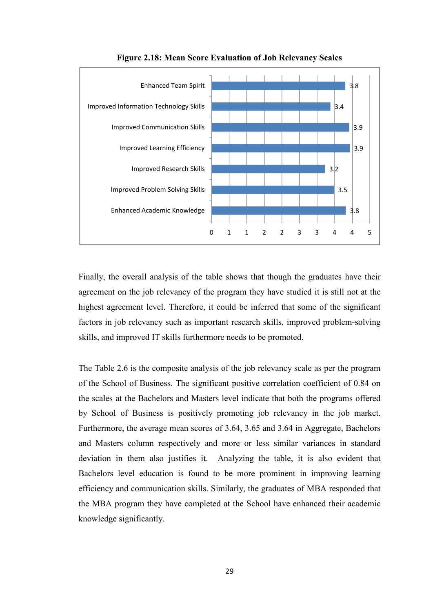

**Figure 2.18: Mean Score Evaluation of Job Relevancy Scales** 

Finally, the overall analysis of the table shows that though the graduates have their agreement on the job relevancy of the program they have studied it is still not at the highest agreement level. Therefore, it could be inferred that some of the significant factors in job relevancy such as important research skills, improved problem-solving skills, and improved IT skills furthermore needs to be promoted.

The Table 2.6 is the composite analysis of the job relevancy scale as per the program of the School of Business. The significant positive correlation coefficient of 0.84 on the scales at the Bachelors and Masters level indicate that both the programs offered by School of Business is positively promoting job relevancy in the job market. Furthermore, the average mean scores of 3.64, 3.65 and 3.64 in Aggregate, Bachelors and Masters column respectively and more or less similar variances in standard deviation in them also justifies it. Analyzing the table, it is also evident that Bachelors level education is found to be more prominent in improving learning efficiency and communication skills. Similarly, the graduates of MBA responded that the MBA program they have completed at the School have enhanced their academic knowledge significantly.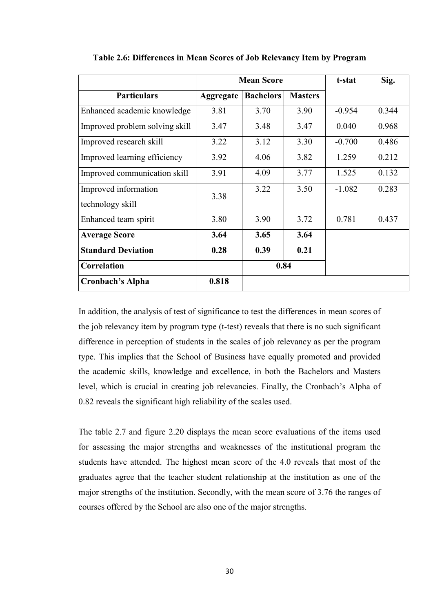|                                |                  | <b>Mean Score</b> | t-stat         | Sig.     |       |
|--------------------------------|------------------|-------------------|----------------|----------|-------|
| <b>Particulars</b>             | <b>Aggregate</b> | <b>Bachelors</b>  | <b>Masters</b> |          |       |
| Enhanced academic knowledge    | 3.81             | 3.70              | 3.90           | $-0.954$ | 0.344 |
| Improved problem solving skill | 3.47             | 3.48              | 3.47           | 0.040    | 0.968 |
| Improved research skill        | 3.22             | 3.12              | 3.30           | $-0.700$ | 0.486 |
| Improved learning efficiency   | 3.92             | 4.06              | 3.82           | 1.259    | 0.212 |
| Improved communication skill   | 3.91             | 4.09              | 3.77           | 1.525    | 0.132 |
| Improved information           | 3.38             | 3.22              | 3.50           | $-1.082$ | 0.283 |
| technology skill               |                  |                   |                |          |       |
| Enhanced team spirit           | 3.80             | 3.90              | 3.72           | 0.781    | 0.437 |
| <b>Average Score</b>           | 3.64             | 3.65              | 3.64           |          |       |
| <b>Standard Deviation</b>      | 0.28             | 0.39              | 0.21           |          |       |
| <b>Correlation</b>             |                  | 0.84              |                |          |       |
| Cronbach's Alpha               | 0.818            |                   |                |          |       |

**Table 2.6: Differences in Mean Scores of Job Relevancy Item by Program** 

In addition, the analysis of test of significance to test the differences in mean scores of the job relevancy item by program type (t-test) reveals that there is no such significant difference in perception of students in the scales of job relevancy as per the program type. This implies that the School of Business have equally promoted and provided the academic skills, knowledge and excellence, in both the Bachelors and Masters level, which is crucial in creating job relevancies. Finally, the Cronbach's Alpha of 0.82 reveals the significant high reliability of the scales used.

The table 2.7 and figure 2.20 displays the mean score evaluations of the items used for assessing the major strengths and weaknesses of the institutional program the students have attended. The highest mean score of the 4.0 reveals that most of the graduates agree that the teacher student relationship at the institution as one of the major strengths of the institution. Secondly, with the mean score of 3.76 the ranges of courses offered by the School are also one of the major strengths.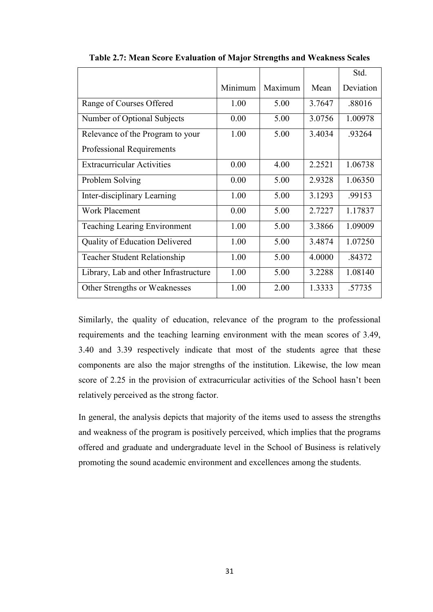|                                       |         |         |        | Std.      |
|---------------------------------------|---------|---------|--------|-----------|
|                                       | Minimum | Maximum | Mean   | Deviation |
| Range of Courses Offered              | 1.00    | 5.00    | 3.7647 | .88016    |
| Number of Optional Subjects           | 0.00    | 5.00    | 3.0756 | 1.00978   |
| Relevance of the Program to your      | 1.00    | 5.00    | 3.4034 | .93264    |
| Professional Requirements             |         |         |        |           |
| <b>Extracurricular Activities</b>     | 0.00    | 4.00    | 2.2521 | 1.06738   |
| Problem Solving                       | 0.00    | 5.00    | 2.9328 | 1.06350   |
| Inter-disciplinary Learning           | 1.00    | 5.00    | 3.1293 | .99153    |
| <b>Work Placement</b>                 | 0.00    | 5.00    | 2.7227 | 1.17837   |
| <b>Teaching Learing Environment</b>   | 1.00    | 5.00    | 3.3866 | 1.09009   |
| <b>Quality of Education Delivered</b> | 1.00    | 5.00    | 3.4874 | 1.07250   |
| <b>Teacher Student Relationship</b>   | 1.00    | 5.00    | 4.0000 | .84372    |
| Library, Lab and other Infrastructure | 1.00    | 5.00    | 3.2288 | 1.08140   |
| Other Strengths or Weaknesses         | 1.00    | 2.00    | 1.3333 | .57735    |

**Table 2.7: Mean Score Evaluation of Major Strengths and Weakness Scales** 

Similarly, the quality of education, relevance of the program to the professional requirements and the teaching learning environment with the mean scores of 3.49, 3.40 and 3.39 respectively indicate that most of the students agree that these components are also the major strengths of the institution. Likewise, the low mean score of 2.25 in the provision of extracurricular activities of the School hasn't been relatively perceived as the strong factor.

In general, the analysis depicts that majority of the items used to assess the strengths and weakness of the program is positively perceived, which implies that the programs offered and graduate and undergraduate level in the School of Business is relatively promoting the sound academic environment and excellences among the students.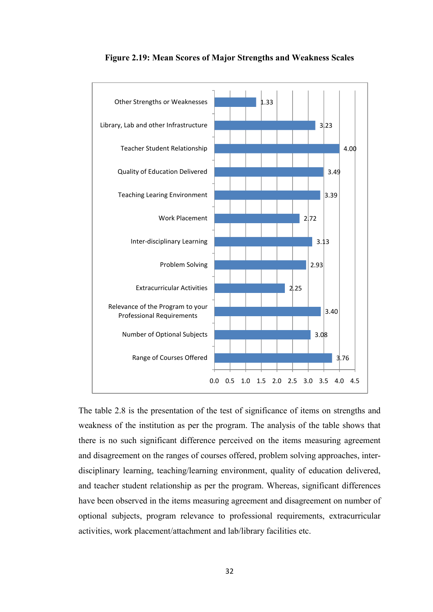

#### **Figure 2.19: Mean Scores of Major Strengths and Weakness Scales**

The table 2.8 is the presentation of the test of significance of items on strengths and weakness of the institution as per the program. The analysis of the table shows that there is no such significant difference perceived on the items measuring agreement and disagreement on the ranges of courses offered, problem solving approaches, interdisciplinary learning, teaching/learning environment, quality of education delivered, and teacher student relationship as per the program. Whereas, significant differences have been observed in the items measuring agreement and disagreement on number of optional subjects, program relevance to professional requirements, extracurricular activities, work placement/attachment and lab/library facilities etc.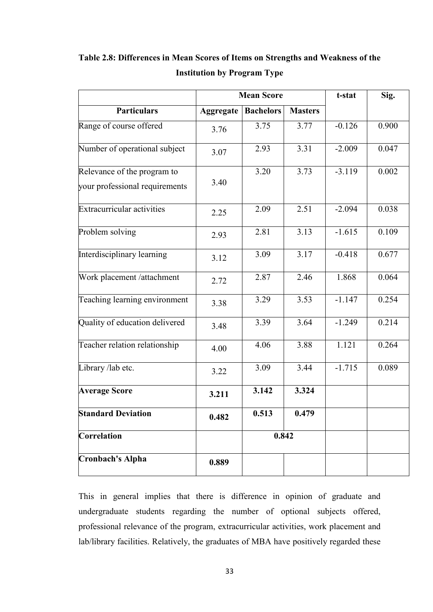|                                   | <b>Mean Score</b> |                  |                | t-stat   | Sig.  |
|-----------------------------------|-------------------|------------------|----------------|----------|-------|
| <b>Particulars</b>                | <b>Aggregate</b>  | <b>Bachelors</b> | <b>Masters</b> |          |       |
| Range of course offered           | 3.76              | 3.75             | 3.77           | $-0.126$ | 0.900 |
| Number of operational subject     | 3.07              | 2.93             | 3.31           | $-2.009$ | 0.047 |
| Relevance of the program to       |                   | 3.20             | 3.73           | $-3.119$ | 0.002 |
| your professional requirements    | 3.40              |                  |                |          |       |
| <b>Extracurricular activities</b> | 2.25              | 2.09             | 2.51           | $-2.094$ | 0.038 |
| Problem solving                   | 2.93              | 2.81             | 3.13           | $-1.615$ | 0.109 |
| Interdisciplinary learning        | 3.12              | 3.09             | 3.17           | $-0.418$ | 0.677 |
| Work placement /attachment        | 2.72              | 2.87             | 2.46           | 1.868    | 0.064 |
| Teaching learning environment     | 3.38              | 3.29             | 3.53           | $-1.147$ | 0.254 |
| Quality of education delivered    | 3.48              | 3.39             | 3.64           | $-1.249$ | 0.214 |
| Teacher relation relationship     | 4.00              | 4.06             | 3.88           | 1.121    | 0.264 |
| Library /lab etc.                 | 3.22              | 3.09             | 3.44           | $-1.715$ | 0.089 |
| <b>Average Score</b>              | 3.211             | 3.142            | 3.324          |          |       |
| <b>Standard Deviation</b>         | 0.482             | 0.513            | 0.479          |          |       |
| <b>Correlation</b>                |                   | 0.842            |                |          |       |
| <b>Cronbach's Alpha</b>           | 0.889             |                  |                |          |       |

**Table 2.8: Differences in Mean Scores of Items on Strengths and Weakness of the Institution by Program Type** 

This in general implies that there is difference in opinion of graduate and undergraduate students regarding the number of optional subjects offered, professional relevance of the program, extracurricular activities, work placement and lab/library facilities. Relatively, the graduates of MBA have positively regarded these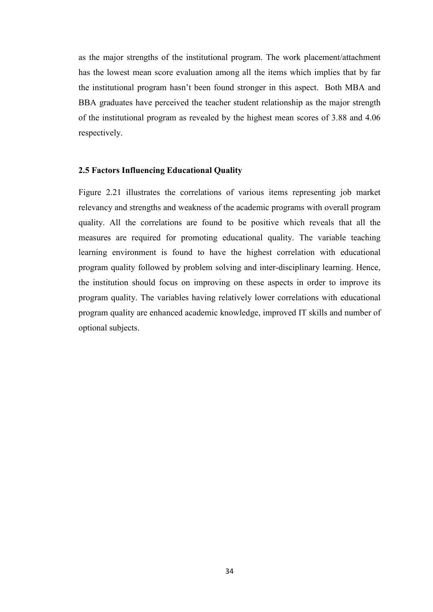as the major strengths of the institutional program. The work placement/attachment has the lowest mean score evaluation among all the items which implies that by far the institutional program hasn't been found stronger in this aspect. Both MBA and BBA graduates have perceived the teacher student relationship as the major strength of the institutional program as revealed by the highest mean scores of 3.88 and 4.06 respectively.

### **2.5 Factors Influencing Educational Quality**

Figure 2.21 illustrates the correlations of various items representing job market relevancy and strengths and weakness of the academic programs with overall program quality. All the correlations are found to be positive which reveals that all the measures are required for promoting educational quality. The variable teaching learning environment is found to have the highest correlation with educational program quality followed by problem solving and inter-disciplinary learning. Hence, the institution should focus on improving on these aspects in order to improve its program quality. The variables having relatively lower correlations with educational program quality are enhanced academic knowledge, improved IT skills and number of optional subjects.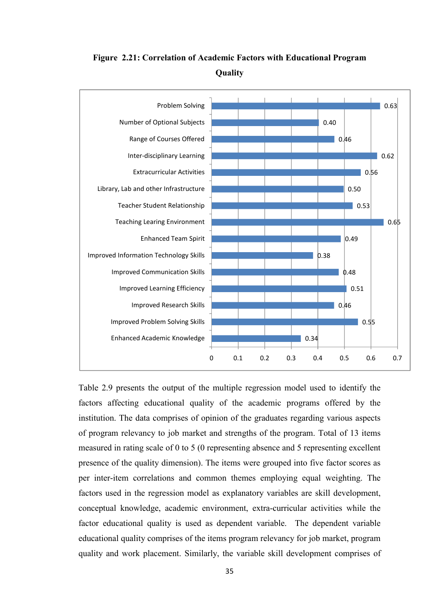

**Figure 2.21: Correlation of Academic Factors with Educational Program Quality** 

Table 2.9 presents the output of the multiple regression model used to identify the factors affecting educational quality of the academic programs offered by the institution. The data comprises of opinion of the graduates regarding various aspects of program relevancy to job market and strengths of the program. Total of 13 items measured in rating scale of 0 to 5 (0 representing absence and 5 representing excellent presence of the quality dimension). The items were grouped into five factor scores as per inter-item correlations and common themes employing equal weighting. The factors used in the regression model as explanatory variables are skill development, conceptual knowledge, academic environment, extra-curricular activities while the factor educational quality is used as dependent variable. The dependent variable educational quality comprises of the items program relevancy for job market, program quality and work placement. Similarly, the variable skill development comprises of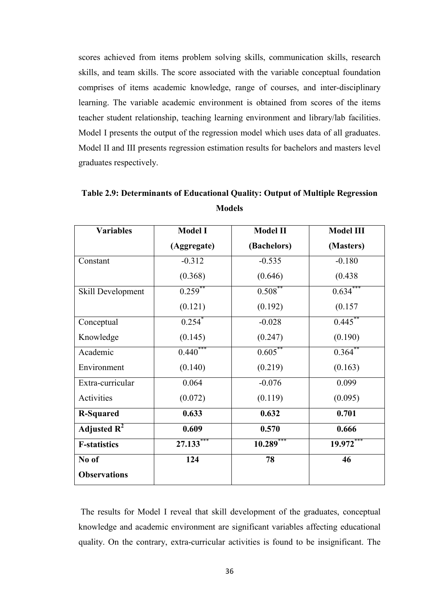scores achieved from items problem solving skills, communication skills, research skills, and team skills. The score associated with the variable conceptual foundation comprises of items academic knowledge, range of courses, and inter-disciplinary learning. The variable academic environment is obtained from scores of the items teacher student relationship, teaching learning environment and library/lab facilities. Model I presents the output of the regression model which uses data of all graduates. Model II and III presents regression estimation results for bachelors and masters level graduates respectively.

| <b>Variables</b>    | <b>Model I</b>       | <b>Model II</b> | <b>Model III</b> |  |
|---------------------|----------------------|-----------------|------------------|--|
|                     | (Aggregate)          | (Bachelors)     | (Masters)        |  |
| Constant            | $-0.312$             | $-0.535$        | $-0.180$         |  |
|                     | (0.368)              | (0.646)         | (0.438)          |  |
| Skill Development   | $0.259$ **           | $0.508***$      | $0.634***$       |  |
|                     | (0.121)              | (0.192)         | (0.157)          |  |
| Conceptual          | $0.254$ <sup>*</sup> | $-0.028$        | $0.445***$       |  |
| Knowledge           | (0.145)              | (0.247)         | (0.190)          |  |
| Academic            | $0.440***$           | $0.605***$      | $0.364^{**}$     |  |
| Environment         | (0.140)              | (0.219)         | (0.163)          |  |
| Extra-curricular    | 0.064                | $-0.076$        | 0.099            |  |
| Activities          | (0.072)              | (0.119)         | (0.095)          |  |
| <b>R-Squared</b>    | 0.633                | 0.632           | 0.701            |  |
| Adjusted $R^2$      | 0.609                | 0.570           | 0.666            |  |
| <b>F-statistics</b> | $27.133***$          | $10.289***$     | $19.972***$      |  |
| No of               | 124                  | 78              | 46               |  |
| <b>Observations</b> |                      |                 |                  |  |

**Table 2.9: Determinants of Educational Quality: Output of Multiple Regression Models** 

 The results for Model I reveal that skill development of the graduates, conceptual knowledge and academic environment are significant variables affecting educational quality. On the contrary, extra-curricular activities is found to be insignificant. The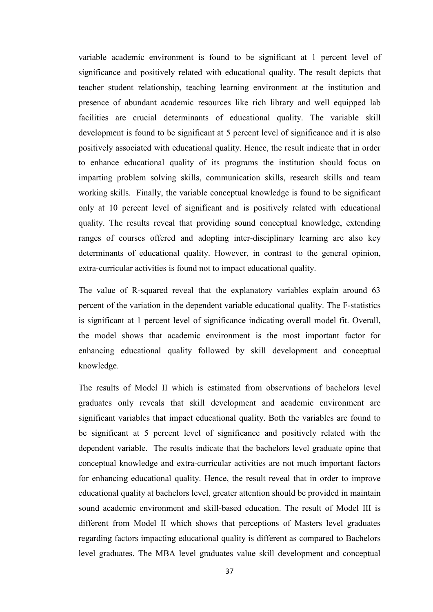variable academic environment is found to be significant at 1 percent level of significance and positively related with educational quality. The result depicts that teacher student relationship, teaching learning environment at the institution and presence of abundant academic resources like rich library and well equipped lab facilities are crucial determinants of educational quality. The variable skill development is found to be significant at 5 percent level of significance and it is also positively associated with educational quality. Hence, the result indicate that in order to enhance educational quality of its programs the institution should focus on imparting problem solving skills, communication skills, research skills and team working skills. Finally, the variable conceptual knowledge is found to be significant only at 10 percent level of significant and is positively related with educational quality. The results reveal that providing sound conceptual knowledge, extending ranges of courses offered and adopting inter-disciplinary learning are also key determinants of educational quality. However, in contrast to the general opinion, extra-curricular activities is found not to impact educational quality.

The value of R-squared reveal that the explanatory variables explain around 63 percent of the variation in the dependent variable educational quality. The F-statistics is significant at 1 percent level of significance indicating overall model fit. Overall, the model shows that academic environment is the most important factor for enhancing educational quality followed by skill development and conceptual knowledge.

The results of Model II which is estimated from observations of bachelors level graduates only reveals that skill development and academic environment are significant variables that impact educational quality. Both the variables are found to be significant at 5 percent level of significance and positively related with the dependent variable. The results indicate that the bachelors level graduate opine that conceptual knowledge and extra-curricular activities are not much important factors for enhancing educational quality. Hence, the result reveal that in order to improve educational quality at bachelors level, greater attention should be provided in maintain sound academic environment and skill-based education. The result of Model III is different from Model II which shows that perceptions of Masters level graduates regarding factors impacting educational quality is different as compared to Bachelors level graduates. The MBA level graduates value skill development and conceptual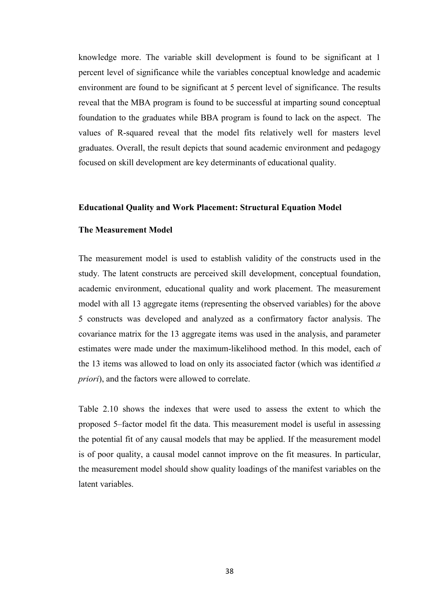knowledge more. The variable skill development is found to be significant at 1 percent level of significance while the variables conceptual knowledge and academic environment are found to be significant at 5 percent level of significance. The results reveal that the MBA program is found to be successful at imparting sound conceptual foundation to the graduates while BBA program is found to lack on the aspect. The values of R-squared reveal that the model fits relatively well for masters level graduates. Overall, the result depicts that sound academic environment and pedagogy focused on skill development are key determinants of educational quality.

#### **Educational Quality and Work Placement: Structural Equation Model**

#### **The Measurement Model**

The measurement model is used to establish validity of the constructs used in the study. The latent constructs are perceived skill development, conceptual foundation, academic environment, educational quality and work placement. The measurement model with all 13 aggregate items (representing the observed variables) for the above 5 constructs was developed and analyzed as a confirmatory factor analysis. The covariance matrix for the 13 aggregate items was used in the analysis, and parameter estimates were made under the maximum-likelihood method. In this model, each of the 13 items was allowed to load on only its associated factor (which was identified *a priori*), and the factors were allowed to correlate.

Table 2.10 shows the indexes that were used to assess the extent to which the proposed 5–factor model fit the data. This measurement model is useful in assessing the potential fit of any causal models that may be applied. If the measurement model is of poor quality, a causal model cannot improve on the fit measures. In particular, the measurement model should show quality loadings of the manifest variables on the latent variables.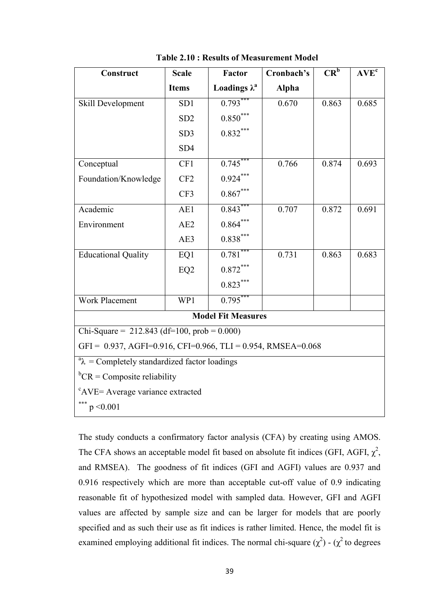| Construct                                                       | <b>Scale</b>    | <b>Factor</b>        | Cronbach's   | $CR^b$ | $AVE^{c}$ |  |  |  |
|-----------------------------------------------------------------|-----------------|----------------------|--------------|--------|-----------|--|--|--|
|                                                                 | <b>Items</b>    | Loadings $\lambda^a$ | <b>Alpha</b> |        |           |  |  |  |
| Skill Development                                               | SD <sub>1</sub> | $0.793*$             | 0.670        | 0.863  | 0.685     |  |  |  |
|                                                                 | SD <sub>2</sub> | $0.850***$           |              |        |           |  |  |  |
|                                                                 | SD <sub>3</sub> | $0.832***$           |              |        |           |  |  |  |
|                                                                 | SD <sub>4</sub> |                      |              |        |           |  |  |  |
| Conceptual                                                      | CF1             | $0.745***$           | 0.766        | 0.874  | 0.693     |  |  |  |
| Foundation/Knowledge                                            | CF <sub>2</sub> | $0.924***$           |              |        |           |  |  |  |
|                                                                 | CF3             | $0.867***$           |              |        |           |  |  |  |
| Academic                                                        | AE1             | $0.843***$           | 0.707        | 0.872  | 0.691     |  |  |  |
| Environment                                                     | AE2             | $0.864***$           |              |        |           |  |  |  |
|                                                                 | AE3             | $0.838***$           |              |        |           |  |  |  |
| <b>Educational Quality</b>                                      | EQ1             | $0.781***$           | 0.731        | 0.863  | 0.683     |  |  |  |
|                                                                 | EQ <sub>2</sub> | $0.872***$           |              |        |           |  |  |  |
|                                                                 |                 | $0.823***$           |              |        |           |  |  |  |
| <b>Work Placement</b>                                           | WP1             | $0.795***$           |              |        |           |  |  |  |
| <b>Model Fit Measures</b>                                       |                 |                      |              |        |           |  |  |  |
| Chi-Square = $212.843$ (df=100, prob = 0.000)                   |                 |                      |              |        |           |  |  |  |
| GFI = $0.937$ , AGFI=0.916, CFI=0.966, TLI = 0.954, RMSEA=0.068 |                 |                      |              |        |           |  |  |  |
| $a_{\lambda}$ = Completely standardized factor loadings         |                 |                      |              |        |           |  |  |  |
| ${}^{\text{b}}\text{CR}$ = Composite reliability                |                 |                      |              |        |           |  |  |  |
| <sup>c</sup> AVE= Average variance extracted                    |                 |                      |              |        |           |  |  |  |
| *** $p < 0.001$                                                 |                 |                      |              |        |           |  |  |  |

**Table 2.10 : Results of Measurement Model** 

The study conducts a confirmatory factor analysis (CFA) by creating using AMOS. The CFA shows an acceptable model fit based on absolute fit indices (GFI, AGFI,  $\chi^2$ , and RMSEA). The goodness of fit indices (GFI and AGFI) values are 0.937 and 0.916 respectively which are more than acceptable cut-off value of 0.9 indicating reasonable fit of hypothesized model with sampled data. However, GFI and AGFI values are affected by sample size and can be larger for models that are poorly specified and as such their use as fit indices is rather limited. Hence, the model fit is examined employing additional fit indices. The normal chi-square  $(\chi^2)$  -  $(\chi^2)$  to degrees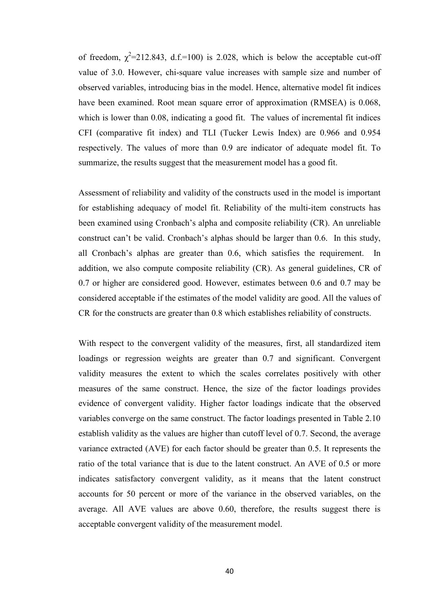of freedom,  $\chi^2$ =212.843, d.f.=100) is 2.028, which is below the acceptable cut-off value of 3.0. However, chi-square value increases with sample size and number of observed variables, introducing bias in the model. Hence, alternative model fit indices have been examined. Root mean square error of approximation (RMSEA) is 0.068, which is lower than 0.08, indicating a good fit. The values of incremental fit indices CFI (comparative fit index) and TLI (Tucker Lewis Index) are 0.966 and 0.954 respectively. The values of more than 0.9 are indicator of adequate model fit. To summarize, the results suggest that the measurement model has a good fit.

Assessment of reliability and validity of the constructs used in the model is important for establishing adequacy of model fit. Reliability of the multi-item constructs has been examined using Cronbach's alpha and composite reliability (CR). An unreliable construct can't be valid. Cronbach's alphas should be larger than 0.6. In this study, all Cronbach's alphas are greater than 0.6, which satisfies the requirement. In addition, we also compute composite reliability (CR). As general guidelines, CR of 0.7 or higher are considered good. However, estimates between 0.6 and 0.7 may be considered acceptable if the estimates of the model validity are good. All the values of CR for the constructs are greater than 0.8 which establishes reliability of constructs.

With respect to the convergent validity of the measures, first, all standardized item loadings or regression weights are greater than 0.7 and significant. Convergent validity measures the extent to which the scales correlates positively with other measures of the same construct. Hence, the size of the factor loadings provides evidence of convergent validity. Higher factor loadings indicate that the observed variables converge on the same construct. The factor loadings presented in Table 2.10 establish validity as the values are higher than cutoff level of 0.7. Second, the average variance extracted (AVE) for each factor should be greater than 0.5. It represents the ratio of the total variance that is due to the latent construct. An AVE of 0.5 or more indicates satisfactory convergent validity, as it means that the latent construct accounts for 50 percent or more of the variance in the observed variables, on the average. All AVE values are above 0.60, therefore, the results suggest there is acceptable convergent validity of the measurement model.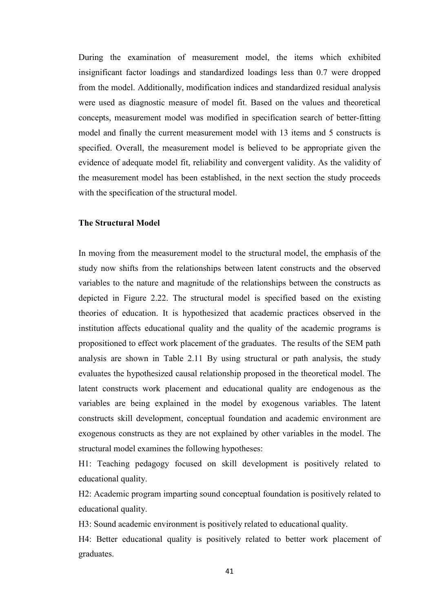During the examination of measurement model, the items which exhibited insignificant factor loadings and standardized loadings less than 0.7 were dropped from the model. Additionally, modification indices and standardized residual analysis were used as diagnostic measure of model fit. Based on the values and theoretical concepts, measurement model was modified in specification search of better-fitting model and finally the current measurement model with 13 items and 5 constructs is specified. Overall, the measurement model is believed to be appropriate given the evidence of adequate model fit, reliability and convergent validity. As the validity of the measurement model has been established, in the next section the study proceeds with the specification of the structural model.

#### **The Structural Model**

In moving from the measurement model to the structural model, the emphasis of the study now shifts from the relationships between latent constructs and the observed variables to the nature and magnitude of the relationships between the constructs as depicted in Figure 2.22. The structural model is specified based on the existing theories of education. It is hypothesized that academic practices observed in the institution affects educational quality and the quality of the academic programs is propositioned to effect work placement of the graduates. The results of the SEM path analysis are shown in Table 2.11 By using structural or path analysis, the study evaluates the hypothesized causal relationship proposed in the theoretical model. The latent constructs work placement and educational quality are endogenous as the variables are being explained in the model by exogenous variables. The latent constructs skill development, conceptual foundation and academic environment are exogenous constructs as they are not explained by other variables in the model. The structural model examines the following hypotheses:

H1: Teaching pedagogy focused on skill development is positively related to educational quality.

H2: Academic program imparting sound conceptual foundation is positively related to educational quality.

H3: Sound academic environment is positively related to educational quality.

H4: Better educational quality is positively related to better work placement of graduates.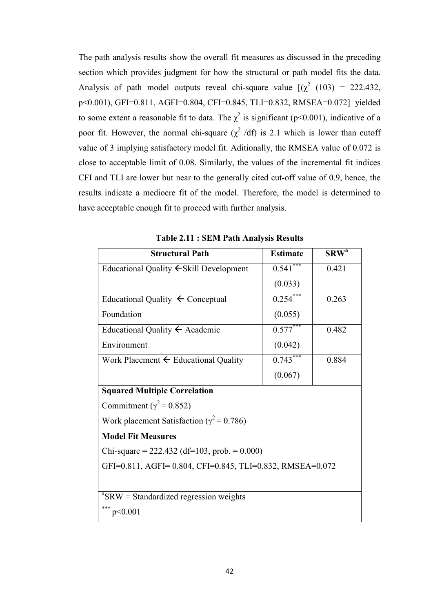The path analysis results show the overall fit measures as discussed in the preceding section which provides judgment for how the structural or path model fits the data. Analysis of path model outputs reveal chi-square value  $[(\chi^2)(103) = 222.432]$ , p<0.001), GFI=0.811, AGFI=0.804, CFI=0.845, TLI=0.832, RMSEA=0.072] yielded to some extent a reasonable fit to data. The  $\chi^2$  is significant (p<0.001), indicative of a poor fit. However, the normal chi-square  $(\chi^2/df)$  is 2.1 which is lower than cutoff value of 3 implying satisfactory model fit. Aditionally, the RMSEA value of 0.072 is close to acceptable limit of 0.08. Similarly, the values of the incremental fit indices CFI and TLI are lower but near to the generally cited cut-off value of 0.9, hence, the results indicate a mediocre fit of the model. Therefore, the model is determined to have acceptable enough fit to proceed with further analysis.

| <b>Structural Path</b>                                   | <b>Estimate</b> | $\text{SRW}^{\text{a}}$ |  |  |  |  |
|----------------------------------------------------------|-----------------|-------------------------|--|--|--|--|
| Educational Quality ← Skill Development                  | $0.541$ ***     | 0.421                   |  |  |  |  |
|                                                          | (0.033)         |                         |  |  |  |  |
| Educational Quality $\leftarrow$ Conceptual              | $0.254$ ***     | 0.263                   |  |  |  |  |
| Foundation                                               | (0.055)         |                         |  |  |  |  |
| Educational Quality $\leftarrow$ Academic                | $0.577***$      | 0.482                   |  |  |  |  |
| Environment                                              | (0.042)         |                         |  |  |  |  |
| Work Placement $\leftarrow$ Educational Quality          | $0.743***$      | 0.884                   |  |  |  |  |
|                                                          | (0.067)         |                         |  |  |  |  |
| <b>Squared Multiple Correlation</b>                      |                 |                         |  |  |  |  |
| Commitment ( $\gamma^2$ = 0.852)                         |                 |                         |  |  |  |  |
| Work placement Satisfaction ( $\gamma^2$ = 0.786)        |                 |                         |  |  |  |  |
| <b>Model Fit Measures</b>                                |                 |                         |  |  |  |  |
| Chi-square = $222.432$ (df=103, prob. = 0.000)           |                 |                         |  |  |  |  |
| GFI=0.811, AGFI=0.804, CFI=0.845, TLI=0.832, RMSEA=0.072 |                 |                         |  |  |  |  |
|                                                          |                 |                         |  |  |  |  |
| ${}^{\rm a}$ SRW = Standardized regression weights       |                 |                         |  |  |  |  |
| ***<br>p<0.001                                           |                 |                         |  |  |  |  |

**Table 2.11 : SEM Path Analysis Results**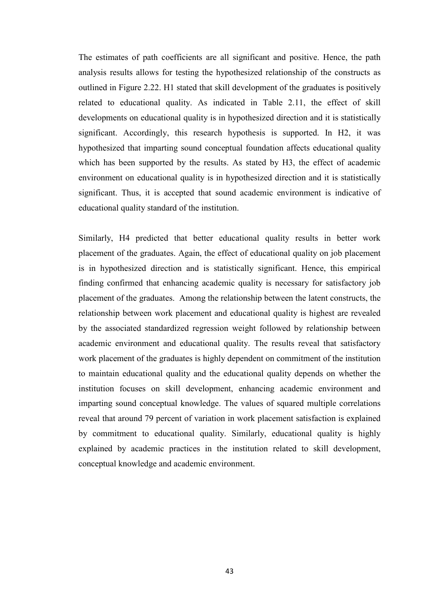The estimates of path coefficients are all significant and positive. Hence, the path analysis results allows for testing the hypothesized relationship of the constructs as outlined in Figure 2.22. H1 stated that skill development of the graduates is positively related to educational quality. As indicated in Table 2.11, the effect of skill developments on educational quality is in hypothesized direction and it is statistically significant. Accordingly, this research hypothesis is supported. In H2, it was hypothesized that imparting sound conceptual foundation affects educational quality which has been supported by the results. As stated by H3, the effect of academic environment on educational quality is in hypothesized direction and it is statistically significant. Thus, it is accepted that sound academic environment is indicative of educational quality standard of the institution.

Similarly, H4 predicted that better educational quality results in better work placement of the graduates. Again, the effect of educational quality on job placement is in hypothesized direction and is statistically significant. Hence, this empirical finding confirmed that enhancing academic quality is necessary for satisfactory job placement of the graduates. Among the relationship between the latent constructs, the relationship between work placement and educational quality is highest are revealed by the associated standardized regression weight followed by relationship between academic environment and educational quality. The results reveal that satisfactory work placement of the graduates is highly dependent on commitment of the institution to maintain educational quality and the educational quality depends on whether the institution focuses on skill development, enhancing academic environment and imparting sound conceptual knowledge. The values of squared multiple correlations reveal that around 79 percent of variation in work placement satisfaction is explained by commitment to educational quality. Similarly, educational quality is highly explained by academic practices in the institution related to skill development, conceptual knowledge and academic environment.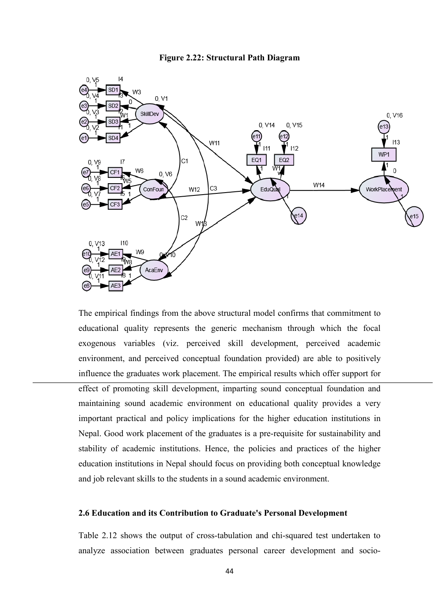



The empirical findings from the above structural model confirms that commitment to educational quality represents the generic mechanism through which the focal educational quality represents the generic mechanism through which the focal<br>exogenous variables (viz. perceived skill development, perceived academic environment, and perceived conceptual foundation provided) are able to positively influence the graduates work placement. The empirical results which offer support for effect of promoting skill development, imparting sound conceptual foundation and maintaining sound academic environment on educational quality provides a very maintaining sound academic environment on educational quality provides a very important practical and policy implications for the higher education institutions in Nepal. Good work placement of the graduates is a pre-requisite for sustainability and stability of academic institutions. Hence, the policies and practices of the higher education institutions in Nepal should focus on providing both conceptual knowledge and job relevant skills to the students in a sound academic environment.

#### **2.6 Education and its Contribution to Graduate's Personal Development ts Personal Developmentts**

Table 2.12 shows the output of cross-tabulation and chi-squared test undertaken to analyze association between graduates personal career development and socio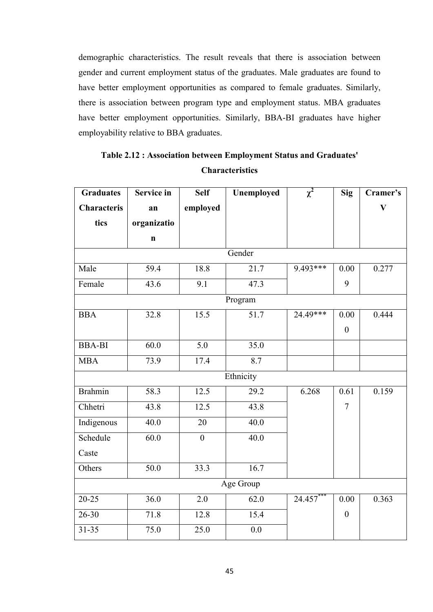demographic characteristics. The result reveals that there is association between gender and current employment status of the graduates. Male graduates are found to have better employment opportunities as compared to female graduates. Similarly, there is association between program type and employment status. MBA graduates have better employment opportunities. Similarly, BBA-BI graduates have higher employability relative to BBA graduates.

| <b>Graduates</b> | <b>Service in</b> | <b>Self</b>      | Unemployed | $\chi^2$ | <b>Sig</b>       | Cramer's     |  |
|------------------|-------------------|------------------|------------|----------|------------------|--------------|--|
| Characteris      | an                | employed         |            |          |                  | $\mathbf{V}$ |  |
| tics             | organizatio       |                  |            |          |                  |              |  |
|                  | $\mathbf n$       |                  |            |          |                  |              |  |
| Gender           |                   |                  |            |          |                  |              |  |
| Male             | 59.4              | 18.8             | 21.7       | 9.493*** | 0.00             | 0.277        |  |
| Female           | 43.6              | 9.1              | 47.3       |          | 9                |              |  |
| Program          |                   |                  |            |          |                  |              |  |
| <b>BBA</b>       | 32.8              | 15.5             | 51.7       | 24.49*** | 0.00             | 0.444        |  |
|                  |                   |                  |            |          | $\overline{0}$   |              |  |
| <b>BBA-BI</b>    | 60.0              | 5.0              | 35.0       |          |                  |              |  |
| <b>MBA</b>       | 73.9              | 17.4             | 8.7        |          |                  |              |  |
| Ethnicity        |                   |                  |            |          |                  |              |  |
| Brahmin          | 58.3              | 12.5             | 29.2       | 6.268    | 0.61             | 0.159        |  |
| Chhetri          | 43.8              | 12.5             | 43.8       |          | $\overline{7}$   |              |  |
| Indigenous       | 40.0              | 20               | 40.0       |          |                  |              |  |
| Schedule         | 60.0              | $\boldsymbol{0}$ | 40.0       |          |                  |              |  |
| Caste            |                   |                  |            |          |                  |              |  |
| Others           | 50.0              | 33.3             | 16.7       |          |                  |              |  |
| Age Group        |                   |                  |            |          |                  |              |  |
| $20 - 25$        | 36.0              | 2.0              | 62.0       | 24.457** | 0.00             | 0.363        |  |
| $26 - 30$        | 71.8              | 12.8             | 15.4       |          | $\boldsymbol{0}$ |              |  |
| $31 - 35$        | 75.0              | 25.0             | 0.0        |          |                  |              |  |

## **Table 2.12 : Association between Employment Status and Graduates' Characteristics**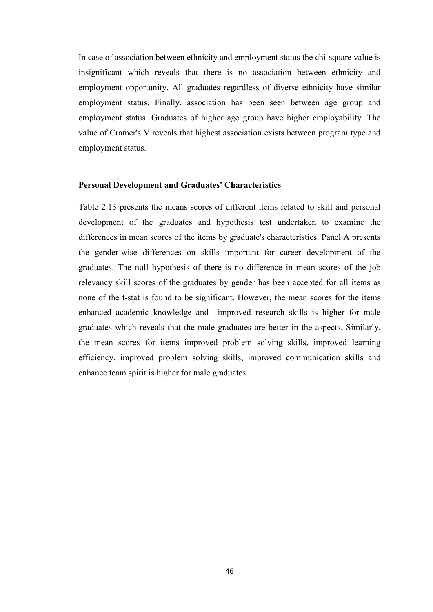In case of association between ethnicity and employment status the chi-square value is insignificant which reveals that there is no association between ethnicity and employment opportunity. All graduates regardless of diverse ethnicity have similar employment status. Finally, association has been seen between age group and employment status. Graduates of higher age group have higher employability. The value of Cramer's V reveals that highest association exists between program type and employment status.

#### **Personal Development and Graduates' Characteristics**

Table 2.13 presents the means scores of different items related to skill and personal development of the graduates and hypothesis test undertaken to examine the differences in mean scores of the items by graduate's characteristics. Panel A presents the gender-wise differences on skills important for career development of the graduates. The null hypothesis of there is no difference in mean scores of the job relevancy skill scores of the graduates by gender has been accepted for all items as none of the t-stat is found to be significant. However, the mean scores for the items enhanced academic knowledge and improved research skills is higher for male graduates which reveals that the male graduates are better in the aspects. Similarly, the mean scores for items improved problem solving skills, improved learning efficiency, improved problem solving skills, improved communication skills and enhance team spirit is higher for male graduates.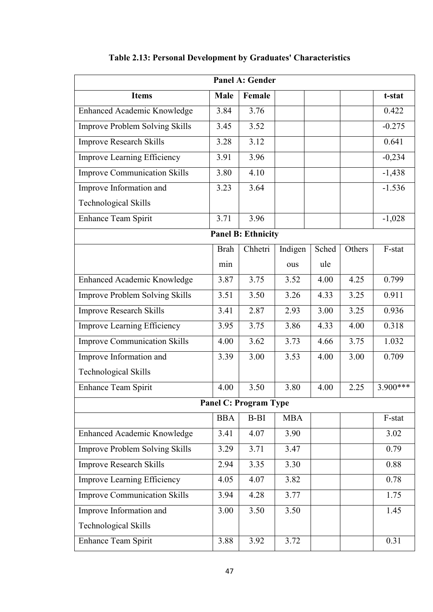| <b>Panel A: Gender</b>                |             |         |            |       |        |          |  |
|---------------------------------------|-------------|---------|------------|-------|--------|----------|--|
| <b>Items</b>                          | <b>Male</b> | Female  |            |       |        | t-stat   |  |
| Enhanced Academic Knowledge           | 3.84        | 3.76    |            |       |        | 0.422    |  |
| <b>Improve Problem Solving Skills</b> | 3.45        | 3.52    |            |       |        | $-0.275$ |  |
| <b>Improve Research Skills</b>        | 3.28        | 3.12    |            |       |        | 0.641    |  |
| <b>Improve Learning Efficiency</b>    | 3.91        | 3.96    |            |       |        | $-0,234$ |  |
| <b>Improve Communication Skills</b>   | 3.80        | 4.10    |            |       |        | $-1,438$ |  |
| Improve Information and               | 3.23        | 3.64    |            |       |        | $-1.536$ |  |
| <b>Technological Skills</b>           |             |         |            |       |        |          |  |
| <b>Enhance Team Spirit</b>            | 3.71        | 3.96    |            |       |        | $-1,028$ |  |
| <b>Panel B: Ethnicity</b>             |             |         |            |       |        |          |  |
|                                       | <b>Brah</b> | Chhetri | Indigen    | Sched | Others | F-stat   |  |
|                                       | min         |         | ous        | ule   |        |          |  |
| Enhanced Academic Knowledge           | 3.87        | 3.75    | 3.52       | 4.00  | 4.25   | 0.799    |  |
| <b>Improve Problem Solving Skills</b> | 3.51        | 3.50    | 3.26       | 4.33  | 3.25   | 0.911    |  |
| <b>Improve Research Skills</b>        | 3.41        | 2.87    | 2.93       | 3.00  | 3.25   | 0.936    |  |
| Improve Learning Efficiency           | 3.95        | 3.75    | 3.86       | 4.33  | 4.00   | 0.318    |  |
| <b>Improve Communication Skills</b>   | 4.00        | 3.62    | 3.73       | 4.66  | 3.75   | 1.032    |  |
| Improve Information and               | 3.39        | 3.00    | 3.53       | 4.00  | 3.00   | 0.709    |  |
| <b>Technological Skills</b>           |             |         |            |       |        |          |  |
| Enhance Team Spirit                   | 4.00        | 3.50    | 3.80       | 4.00  | 2.25   | 3.900*** |  |
| <b>Panel C: Program Type</b>          |             |         |            |       |        |          |  |
|                                       | <b>BBA</b>  | $B-BI$  | <b>MBA</b> |       |        | F-stat   |  |
| Enhanced Academic Knowledge           | 3.41        | 4.07    | 3.90       |       |        | 3.02     |  |
| <b>Improve Problem Solving Skills</b> | 3.29        | 3.71    | 3.47       |       |        | 0.79     |  |
| Improve Research Skills               | 2.94        | 3.35    | 3.30       |       |        | 0.88     |  |
| <b>Improve Learning Efficiency</b>    | 4.05        | 4.07    | 3.82       |       |        | 0.78     |  |
| <b>Improve Communication Skills</b>   | 3.94        | 4.28    | 3.77       |       |        | 1.75     |  |
| Improve Information and               |             | 3.50    | 3.50       |       |        | 1.45     |  |
| <b>Technological Skills</b>           |             |         |            |       |        |          |  |
| Enhance Team Spirit                   | 3.88        | 3.92    | 3.72       |       |        | 0.31     |  |

# **Table 2.13: Personal Development by Graduates' Characteristics**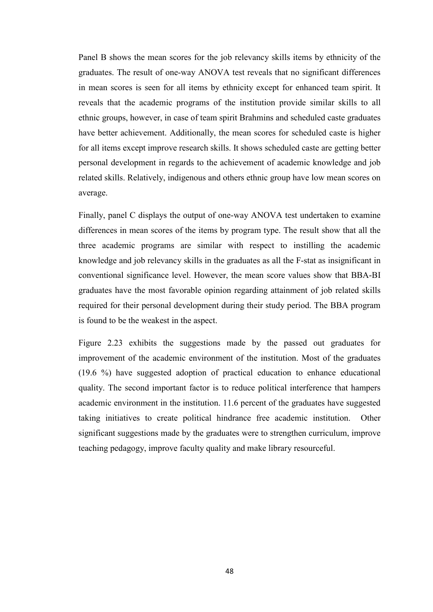Panel B shows the mean scores for the job relevancy skills items by ethnicity of the graduates. The result of one-way ANOVA test reveals that no significant differences in mean scores is seen for all items by ethnicity except for enhanced team spirit. It reveals that the academic programs of the institution provide similar skills to all ethnic groups, however, in case of team spirit Brahmins and scheduled caste graduates have better achievement. Additionally, the mean scores for scheduled caste is higher for all items except improve research skills. It shows scheduled caste are getting better personal development in regards to the achievement of academic knowledge and job related skills. Relatively, indigenous and others ethnic group have low mean scores on average.

Finally, panel C displays the output of one-way ANOVA test undertaken to examine differences in mean scores of the items by program type. The result show that all the three academic programs are similar with respect to instilling the academic knowledge and job relevancy skills in the graduates as all the F-stat as insignificant in conventional significance level. However, the mean score values show that BBA-BI graduates have the most favorable opinion regarding attainment of job related skills required for their personal development during their study period. The BBA program is found to be the weakest in the aspect.

Figure 2.23 exhibits the suggestions made by the passed out graduates for improvement of the academic environment of the institution. Most of the graduates (19.6 %) have suggested adoption of practical education to enhance educational quality. The second important factor is to reduce political interference that hampers academic environment in the institution. 11.6 percent of the graduates have suggested taking initiatives to create political hindrance free academic institution. Other significant suggestions made by the graduates were to strengthen curriculum, improve teaching pedagogy, improve faculty quality and make library resourceful.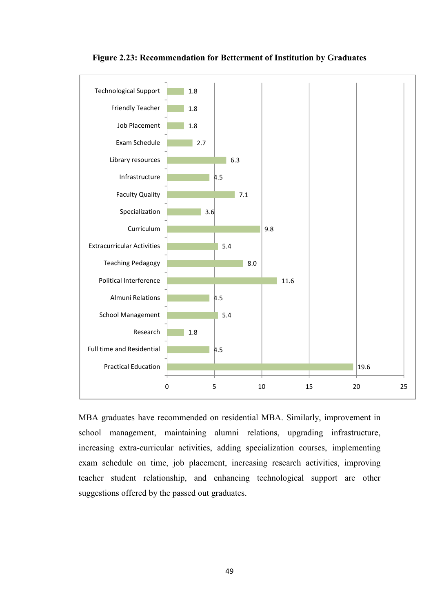

**Figure 2.23: Recommendation for Betterment of Institution by Graduates** 

MBA graduates have recommended on residential MBA. Similarly, improvement in school management, maintaining alumni relations, upgrading infrastructure, increasing extra-curricular activities, adding specialization courses, implementing exam schedule on time, job placement, increasing research activities, improving teacher student relationship, and enhancing technological support are other suggestions offered by the passed out graduates.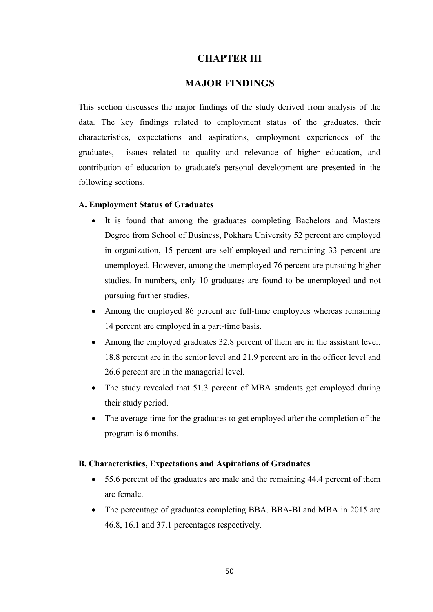### **CHAPTER III**

### **MAJOR FINDINGS**

This section discusses the major findings of the study derived from analysis of the data. The key findings related to employment status of the graduates, their characteristics, expectations and aspirations, employment experiences of the graduates, issues related to quality and relevance of higher education, and contribution of education to graduate's personal development are presented in the following sections.

#### **A. Employment Status of Graduates**

- It is found that among the graduates completing Bachelors and Masters Degree from School of Business, Pokhara University 52 percent are employed in organization, 15 percent are self employed and remaining 33 percent are unemployed. However, among the unemployed 76 percent are pursuing higher studies. In numbers, only 10 graduates are found to be unemployed and not pursuing further studies.
- Among the employed 86 percent are full-time employees whereas remaining 14 percent are employed in a part-time basis.
- Among the employed graduates 32.8 percent of them are in the assistant level, 18.8 percent are in the senior level and 21.9 percent are in the officer level and 26.6 percent are in the managerial level.
- The study revealed that 51.3 percent of MBA students get employed during their study period.
- The average time for the graduates to get employed after the completion of the program is 6 months.

#### **B. Characteristics, Expectations and Aspirations of Graduates**

- 55.6 percent of the graduates are male and the remaining 44.4 percent of them are female.
- The percentage of graduates completing BBA. BBA-BI and MBA in 2015 are 46.8, 16.1 and 37.1 percentages respectively.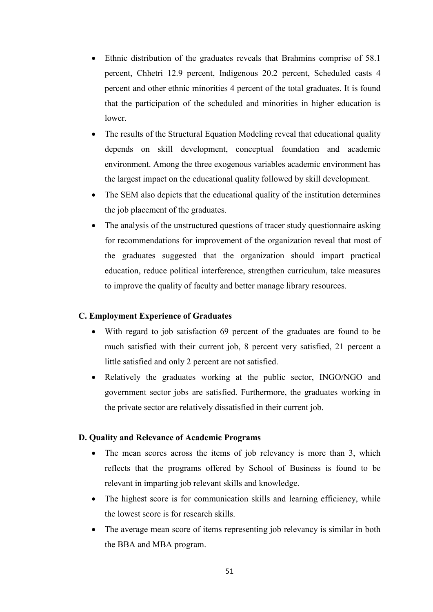- Ethnic distribution of the graduates reveals that Brahmins comprise of 58.1 percent, Chhetri 12.9 percent, Indigenous 20.2 percent, Scheduled casts 4 percent and other ethnic minorities 4 percent of the total graduates. It is found that the participation of the scheduled and minorities in higher education is lower.
- The results of the Structural Equation Modeling reveal that educational quality depends on skill development, conceptual foundation and academic environment. Among the three exogenous variables academic environment has the largest impact on the educational quality followed by skill development.
- The SEM also depicts that the educational quality of the institution determines the job placement of the graduates.
- The analysis of the unstructured questions of tracer study questionnaire asking for recommendations for improvement of the organization reveal that most of the graduates suggested that the organization should impart practical education, reduce political interference, strengthen curriculum, take measures to improve the quality of faculty and better manage library resources.

#### **C. Employment Experience of Graduates**

- With regard to job satisfaction 69 percent of the graduates are found to be much satisfied with their current job, 8 percent very satisfied, 21 percent a little satisfied and only 2 percent are not satisfied.
- Relatively the graduates working at the public sector, INGO/NGO and government sector jobs are satisfied. Furthermore, the graduates working in the private sector are relatively dissatisfied in their current job.

#### **D. Quality and Relevance of Academic Programs**

- The mean scores across the items of job relevancy is more than 3, which reflects that the programs offered by School of Business is found to be relevant in imparting job relevant skills and knowledge.
- The highest score is for communication skills and learning efficiency, while the lowest score is for research skills.
- The average mean score of items representing job relevancy is similar in both the BBA and MBA program.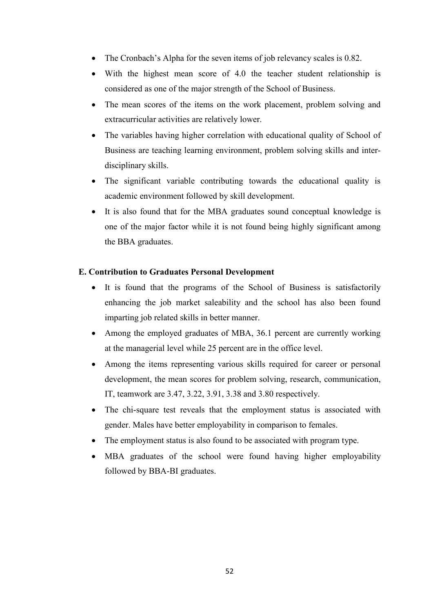- The Cronbach's Alpha for the seven items of job relevancy scales is 0.82.
- With the highest mean score of 4.0 the teacher student relationship is considered as one of the major strength of the School of Business.
- The mean scores of the items on the work placement, problem solving and extracurricular activities are relatively lower.
- The variables having higher correlation with educational quality of School of Business are teaching learning environment, problem solving skills and interdisciplinary skills.
- The significant variable contributing towards the educational quality is academic environment followed by skill development.
- It is also found that for the MBA graduates sound conceptual knowledge is one of the major factor while it is not found being highly significant among the BBA graduates.

#### **E. Contribution to Graduates Personal Development**

- It is found that the programs of the School of Business is satisfactorily enhancing the job market saleability and the school has also been found imparting job related skills in better manner.
- Among the employed graduates of MBA, 36.1 percent are currently working at the managerial level while 25 percent are in the office level.
- Among the items representing various skills required for career or personal development, the mean scores for problem solving, research, communication, IT, teamwork are 3.47, 3.22, 3.91, 3.38 and 3.80 respectively.
- The chi-square test reveals that the employment status is associated with gender. Males have better employability in comparison to females.
- The employment status is also found to be associated with program type.
- MBA graduates of the school were found having higher employability followed by BBA-BI graduates.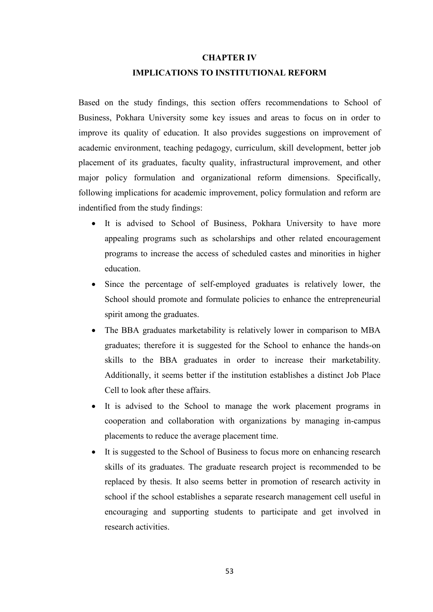#### **CHAPTER IV**

#### **IMPLICATIONS TO INSTITUTIONAL REFORM**

Based on the study findings, this section offers recommendations to School of Business, Pokhara University some key issues and areas to focus on in order to improve its quality of education. It also provides suggestions on improvement of academic environment, teaching pedagogy, curriculum, skill development, better job placement of its graduates, faculty quality, infrastructural improvement, and other major policy formulation and organizational reform dimensions. Specifically, following implications for academic improvement, policy formulation and reform are indentified from the study findings:

- It is advised to School of Business, Pokhara University to have more appealing programs such as scholarships and other related encouragement programs to increase the access of scheduled castes and minorities in higher education.
- Since the percentage of self-employed graduates is relatively lower, the School should promote and formulate policies to enhance the entrepreneurial spirit among the graduates.
- The BBA graduates marketability is relatively lower in comparison to MBA graduates; therefore it is suggested for the School to enhance the hands-on skills to the BBA graduates in order to increase their marketability. Additionally, it seems better if the institution establishes a distinct Job Place Cell to look after these affairs.
- It is advised to the School to manage the work placement programs in cooperation and collaboration with organizations by managing in-campus placements to reduce the average placement time.
- It is suggested to the School of Business to focus more on enhancing research skills of its graduates. The graduate research project is recommended to be replaced by thesis. It also seems better in promotion of research activity in school if the school establishes a separate research management cell useful in encouraging and supporting students to participate and get involved in research activities.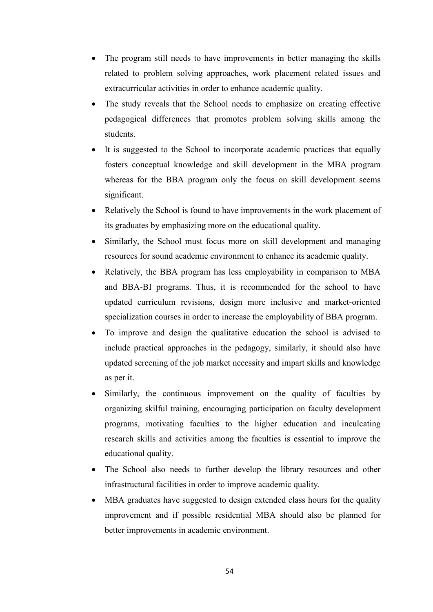- The program still needs to have improvements in better managing the skills related to problem solving approaches, work placement related issues and extracurricular activities in order to enhance academic quality.
- The study reveals that the School needs to emphasize on creating effective pedagogical differences that promotes problem solving skills among the students.
- It is suggested to the School to incorporate academic practices that equally fosters conceptual knowledge and skill development in the MBA program whereas for the BBA program only the focus on skill development seems significant.
- Relatively the School is found to have improvements in the work placement of its graduates by emphasizing more on the educational quality.
- Similarly, the School must focus more on skill development and managing resources for sound academic environment to enhance its academic quality.
- Relatively, the BBA program has less employability in comparison to MBA and BBA-BI programs. Thus, it is recommended for the school to have updated curriculum revisions, design more inclusive and market-oriented specialization courses in order to increase the employability of BBA program.
- To improve and design the qualitative education the school is advised to include practical approaches in the pedagogy, similarly, it should also have updated screening of the job market necessity and impart skills and knowledge as per it.
- Similarly, the continuous improvement on the quality of faculties by organizing skilful training, encouraging participation on faculty development programs, motivating faculties to the higher education and inculcating research skills and activities among the faculties is essential to improve the educational quality.
- The School also needs to further develop the library resources and other infrastructural facilities in order to improve academic quality.
- MBA graduates have suggested to design extended class hours for the quality improvement and if possible residential MBA should also be planned for better improvements in academic environment.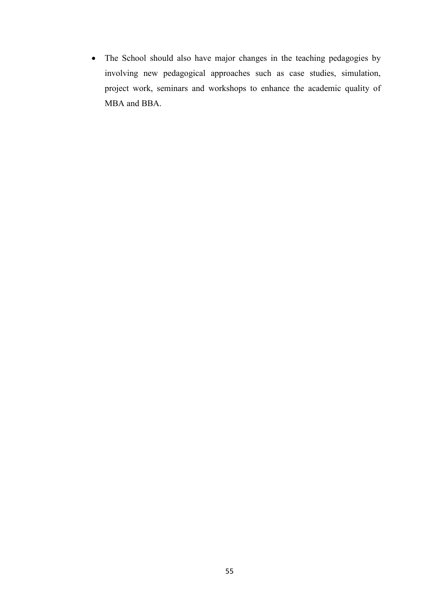• The School should also have major changes in the teaching pedagogies by involving new pedagogical approaches such as case studies, simulation, project work, seminars and workshops to enhance the academic quality of MBA and BBA.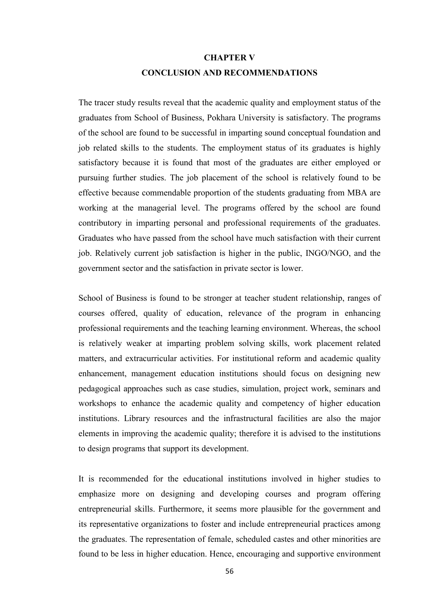# **CHAPTER V CONCLUSION AND RECOMMENDATIONS**

The tracer study results reveal that the academic quality and employment status of the graduates from School of Business, Pokhara University is satisfactory. The programs of the school are found to be successful in imparting sound conceptual foundation and job related skills to the students. The employment status of its graduates is highly satisfactory because it is found that most of the graduates are either employed or pursuing further studies. The job placement of the school is relatively found to be effective because commendable proportion of the students graduating from MBA are working at the managerial level. The programs offered by the school are found contributory in imparting personal and professional requirements of the graduates. Graduates who have passed from the school have much satisfaction with their current job. Relatively current job satisfaction is higher in the public, INGO/NGO, and the government sector and the satisfaction in private sector is lower.

School of Business is found to be stronger at teacher student relationship, ranges of courses offered, quality of education, relevance of the program in enhancing professional requirements and the teaching learning environment. Whereas, the school is relatively weaker at imparting problem solving skills, work placement related matters, and extracurricular activities. For institutional reform and academic quality enhancement, management education institutions should focus on designing new pedagogical approaches such as case studies, simulation, project work, seminars and workshops to enhance the academic quality and competency of higher education institutions. Library resources and the infrastructural facilities are also the major elements in improving the academic quality; therefore it is advised to the institutions to design programs that support its development.

It is recommended for the educational institutions involved in higher studies to emphasize more on designing and developing courses and program offering entrepreneurial skills. Furthermore, it seems more plausible for the government and its representative organizations to foster and include entrepreneurial practices among the graduates. The representation of female, scheduled castes and other minorities are found to be less in higher education. Hence, encouraging and supportive environment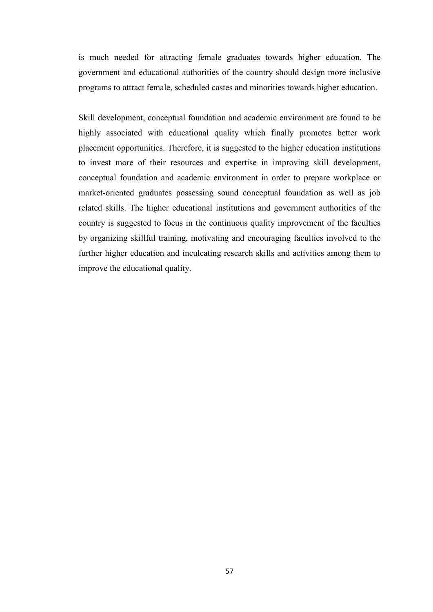is much needed for attracting female graduates towards higher education. The government and educational authorities of the country should design more inclusive programs to attract female, scheduled castes and minorities towards higher education.

Skill development, conceptual foundation and academic environment are found to be highly associated with educational quality which finally promotes better work placement opportunities. Therefore, it is suggested to the higher education institutions to invest more of their resources and expertise in improving skill development, conceptual foundation and academic environment in order to prepare workplace or market-oriented graduates possessing sound conceptual foundation as well as job related skills. The higher educational institutions and government authorities of the country is suggested to focus in the continuous quality improvement of the faculties by organizing skillful training, motivating and encouraging faculties involved to the further higher education and inculcating research skills and activities among them to improve the educational quality.